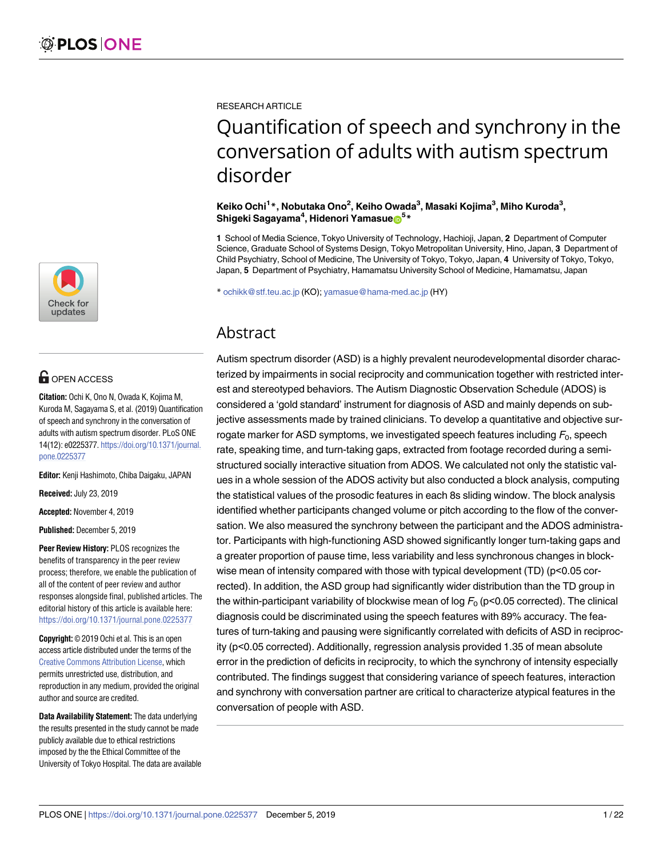

# **OPEN ACCESS**

**Citation:** Ochi K, Ono N, Owada K, Kojima M, Kuroda M, Sagayama S, et al. (2019) Quantification of speech and synchrony in the conversation of adults with autism spectrum disorder. PLoS ONE 14(12): e0225377. [https://doi.org/10.1371/journal.](https://doi.org/10.1371/journal.pone.0225377) [pone.0225377](https://doi.org/10.1371/journal.pone.0225377)

**Editor:** Kenji Hashimoto, Chiba Daigaku, JAPAN

**Received:** July 23, 2019

**Accepted:** November 4, 2019

**Published:** December 5, 2019

**Peer Review History:** PLOS recognizes the benefits of transparency in the peer review process; therefore, we enable the publication of all of the content of peer review and author responses alongside final, published articles. The editorial history of this article is available here: <https://doi.org/10.1371/journal.pone.0225377>

**Copyright:** © 2019 Ochi et al. This is an open access article distributed under the terms of the Creative Commons [Attribution](http://creativecommons.org/licenses/by/4.0/) License, which permits unrestricted use, distribution, and reproduction in any medium, provided the original author and source are credited.

**Data Availability Statement:** The data underlying the results presented in the study cannot be made publicly available due to ethical restrictions imposed by the the Ethical Committee of the University of Tokyo Hospital. The data are available RESEARCH ARTICLE

# Quantification of speech and synchrony in the conversation of adults with autism spectrum disorder

### **Keiko Ochi1 \*, Nobutaka Ono2 , Keiho Owada3 , Masaki Kojima3 , Miho Kuroda3 ,**  $\boldsymbol{\mathsf{Shigeki}}$  Sagayama<sup>4</sup>, Hidenori Yamasue $\boldsymbol{\mathsf{D}}^{5\,*}$

**1** School of Media Science, Tokyo University of Technology, Hachioji, Japan, **2** Department of Computer Science, Graduate School of Systems Design, Tokyo Metropolitan University, Hino, Japan, **3** Department of Child Psychiatry, School of Medicine, The University of Tokyo, Tokyo, Japan, **4** University of Tokyo, Tokyo, Japan, **5** Department of Psychiatry, Hamamatsu University School of Medicine, Hamamatsu, Japan

\* ochikk@stf.teu.ac.jp (KO); yamasue@hama-med.ac.jp (HY)

## Abstract

Autism spectrum disorder (ASD) is a highly prevalent neurodevelopmental disorder characterized by impairments in social reciprocity and communication together with restricted interest and stereotyped behaviors. The Autism Diagnostic Observation Schedule (ADOS) is considered a 'gold standard' instrument for diagnosis of ASD and mainly depends on subjective assessments made by trained clinicians. To develop a quantitative and objective surrogate marker for ASD symptoms, we investigated speech features including  $F_0$ , speech rate, speaking time, and turn-taking gaps, extracted from footage recorded during a semistructured socially interactive situation from ADOS. We calculated not only the statistic values in a whole session of the ADOS activity but also conducted a block analysis, computing the statistical values of the prosodic features in each 8s sliding window. The block analysis identified whether participants changed volume or pitch according to the flow of the conversation. We also measured the synchrony between the participant and the ADOS administrator. Participants with high-functioning ASD showed significantly longer turn-taking gaps and a greater proportion of pause time, less variability and less synchronous changes in blockwise mean of intensity compared with those with typical development (TD) (p<0.05 corrected). In addition, the ASD group had significantly wider distribution than the TD group in the within-participant variability of blockwise mean of log  $F_0$  (p<0.05 corrected). The clinical diagnosis could be discriminated using the speech features with 89% accuracy. The features of turn-taking and pausing were significantly correlated with deficits of ASD in reciprocity (p<0.05 corrected). Additionally, regression analysis provided 1.35 of mean absolute error in the prediction of deficits in reciprocity, to which the synchrony of intensity especially contributed. The findings suggest that considering variance of speech features, interaction and synchrony with conversation partner are critical to characterize atypical features in the conversation of people with ASD.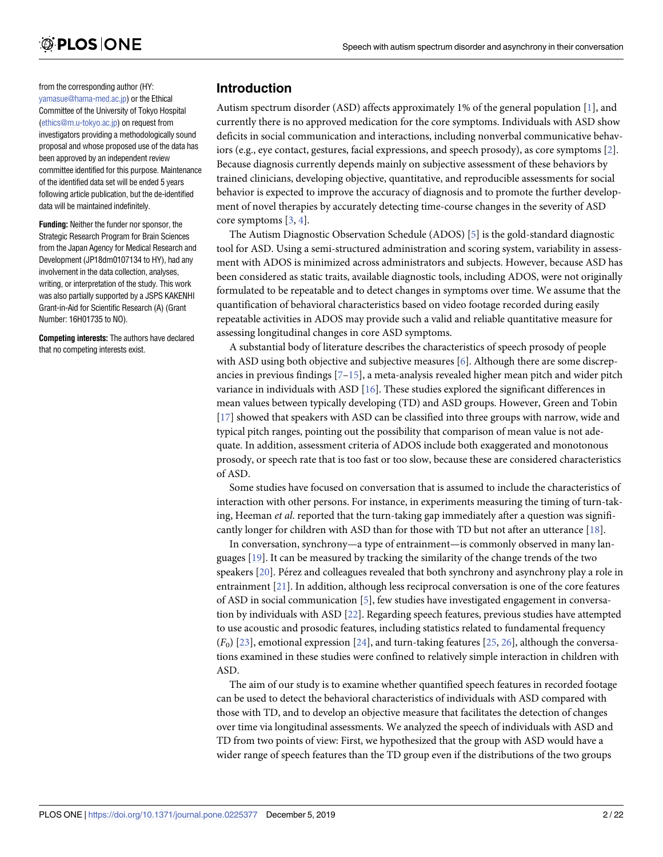<span id="page-1-0"></span>from the corresponding author (HY: [yamasue@hama-med.ac.jp\)](mailto:yamasue@hama-med.ac.jp) or the Ethical Committee of the University of Tokyo Hospital [\(ethics@m.u-tokyo.ac.jp](mailto:ethics@m.u-tokyo.ac.jp)) on request from investigators providing a methodologically sound proposal and whose proposed use of the data has been approved by an independent review committee identified for this purpose. Maintenance of the identified data set will be ended 5 years following article publication, but the de-identified data will be maintained indefinitely.

**Funding:** Neither the funder nor sponsor, the Strategic Research Program for Brain Sciences from the Japan Agency for Medical Research and Development (JP18dm0107134 to HY), had any involvement in the data collection, analyses, writing, or interpretation of the study. This work was also partially supported by a JSPS KAKENHI Grant-in-Aid for Scientific Research (A) (Grant Number: 16H01735 to NO).

**Competing interests:** The authors have declared that no competing interests exist.

### **Introduction**

Autism spectrum disorder (ASD) affects approximately 1% of the general population [\[1](#page-19-0)], and currently there is no approved medication for the core symptoms. Individuals with ASD show deficits in social communication and interactions, including nonverbal communicative behaviors (e.g., eye contact, gestures, facial expressions, and speech prosody), as core symptoms [\[2\]](#page-19-0). Because diagnosis currently depends mainly on subjective assessment of these behaviors by trained clinicians, developing objective, quantitative, and reproducible assessments for social behavior is expected to improve the accuracy of diagnosis and to promote the further development of novel therapies by accurately detecting time-course changes in the severity of ASD core symptoms [\[3](#page-19-0), [4](#page-19-0)].

The Autism Diagnostic Observation Schedule (ADOS) [\[5\]](#page-19-0) is the gold-standard diagnostic tool for ASD. Using a semi-structured administration and scoring system, variability in assessment with ADOS is minimized across administrators and subjects. However, because ASD has been considered as static traits, available diagnostic tools, including ADOS, were not originally formulated to be repeatable and to detect changes in symptoms over time. We assume that the quantification of behavioral characteristics based on video footage recorded during easily repeatable activities in ADOS may provide such a valid and reliable quantitative measure for assessing longitudinal changes in core ASD symptoms.

A substantial body of literature describes the characteristics of speech prosody of people with ASD using both objective and subjective measures [\[6\]](#page-19-0). Although there are some discrepancies in previous findings [\[7–15](#page-19-0)], a meta-analysis revealed higher mean pitch and wider pitch variance in individuals with ASD [\[16\]](#page-19-0). These studies explored the significant differences in mean values between typically developing (TD) and ASD groups. However, Green and Tobin [\[17\]](#page-19-0) showed that speakers with ASD can be classified into three groups with narrow, wide and typical pitch ranges, pointing out the possibility that comparison of mean value is not adequate. In addition, assessment criteria of ADOS include both exaggerated and monotonous prosody, or speech rate that is too fast or too slow, because these are considered characteristics of ASD.

Some studies have focused on conversation that is assumed to include the characteristics of interaction with other persons. For instance, in experiments measuring the timing of turn-taking, Heeman *et al*. reported that the turn-taking gap immediately after a question was significantly longer for children with ASD than for those with TD but not after an utterance [[18](#page-19-0)].

In conversation, synchrony—a type of entrainment—is commonly observed in many languages [\[19\]](#page-20-0). It can be measured by tracking the similarity of the change trends of the two speakers [\[20\]](#page-20-0). Pérez and colleagues revealed that both synchrony and asynchrony play a role in entrainment [\[21\]](#page-20-0). In addition, although less reciprocal conversation is one of the core features of ASD in social communication [[5](#page-19-0)], few studies have investigated engagement in conversation by individuals with ASD [\[22\]](#page-20-0). Regarding speech features, previous studies have attempted to use acoustic and prosodic features, including statistics related to fundamental frequency (*F*0) [\[23\]](#page-20-0), emotional expression [\[24\]](#page-20-0), and turn-taking features [\[25,](#page-20-0) [26\]](#page-20-0), although the conversations examined in these studies were confined to relatively simple interaction in children with ASD.

The aim of our study is to examine whether quantified speech features in recorded footage can be used to detect the behavioral characteristics of individuals with ASD compared with those with TD, and to develop an objective measure that facilitates the detection of changes over time via longitudinal assessments. We analyzed the speech of individuals with ASD and TD from two points of view: First, we hypothesized that the group with ASD would have a wider range of speech features than the TD group even if the distributions of the two groups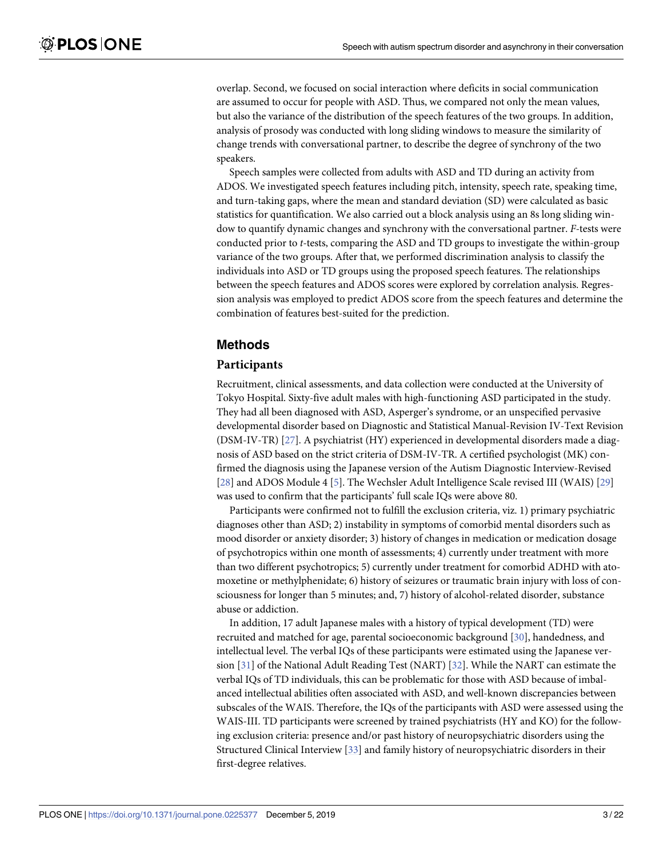<span id="page-2-0"></span>overlap. Second, we focused on social interaction where deficits in social communication are assumed to occur for people with ASD. Thus, we compared not only the mean values, but also the variance of the distribution of the speech features of the two groups. In addition, analysis of prosody was conducted with long sliding windows to measure the similarity of change trends with conversational partner, to describe the degree of synchrony of the two speakers.

Speech samples were collected from adults with ASD and TD during an activity from ADOS. We investigated speech features including pitch, intensity, speech rate, speaking time, and turn-taking gaps, where the mean and standard deviation (SD) were calculated as basic statistics for quantification. We also carried out a block analysis using an 8s long sliding window to quantify dynamic changes and synchrony with the conversational partner. *F-*tests were conducted prior to *t-*tests, comparing the ASD and TD groups to investigate the within-group variance of the two groups. After that, we performed discrimination analysis to classify the individuals into ASD or TD groups using the proposed speech features. The relationships between the speech features and ADOS scores were explored by correlation analysis. Regression analysis was employed to predict ADOS score from the speech features and determine the combination of features best-suited for the prediction.

### **Methods**

### **Participants**

Recruitment, clinical assessments, and data collection were conducted at the University of Tokyo Hospital. Sixty-five adult males with high-functioning ASD participated in the study. They had all been diagnosed with ASD, Asperger's syndrome, or an unspecified pervasive developmental disorder based on Diagnostic and Statistical Manual-Revision IV-Text Revision (DSM-IV-TR) [\[27\]](#page-20-0). A psychiatrist (HY) experienced in developmental disorders made a diagnosis of ASD based on the strict criteria of DSM-IV-TR. A certified psychologist (MK) confirmed the diagnosis using the Japanese version of the Autism Diagnostic Interview-Revised [\[28\]](#page-20-0) and ADOS Module 4 [\[5\]](#page-19-0). The Wechsler Adult Intelligence Scale revised III (WAIS) [\[29\]](#page-20-0) was used to confirm that the participants' full scale IQs were above 80.

Participants were confirmed not to fulfill the exclusion criteria, viz. 1) primary psychiatric diagnoses other than ASD; 2) instability in symptoms of comorbid mental disorders such as mood disorder or anxiety disorder; 3) history of changes in medication or medication dosage of psychotropics within one month of assessments; 4) currently under treatment with more than two different psychotropics; 5) currently under treatment for comorbid ADHD with atomoxetine or methylphenidate; 6) history of seizures or traumatic brain injury with loss of consciousness for longer than 5 minutes; and, 7) history of alcohol-related disorder, substance abuse or addiction.

In addition, 17 adult Japanese males with a history of typical development (TD) were recruited and matched for age, parental socioeconomic background [[30](#page-20-0)], handedness, and intellectual level. The verbal IQs of these participants were estimated using the Japanese version [\[31\]](#page-20-0) of the National Adult Reading Test (NART) [\[32\]](#page-20-0). While the NART can estimate the verbal IQs of TD individuals, this can be problematic for those with ASD because of imbalanced intellectual abilities often associated with ASD, and well-known discrepancies between subscales of the WAIS. Therefore, the IQs of the participants with ASD were assessed using the WAIS-III. TD participants were screened by trained psychiatrists (HY and KO) for the following exclusion criteria: presence and/or past history of neuropsychiatric disorders using the Structured Clinical Interview [[33\]](#page-20-0) and family history of neuropsychiatric disorders in their first-degree relatives.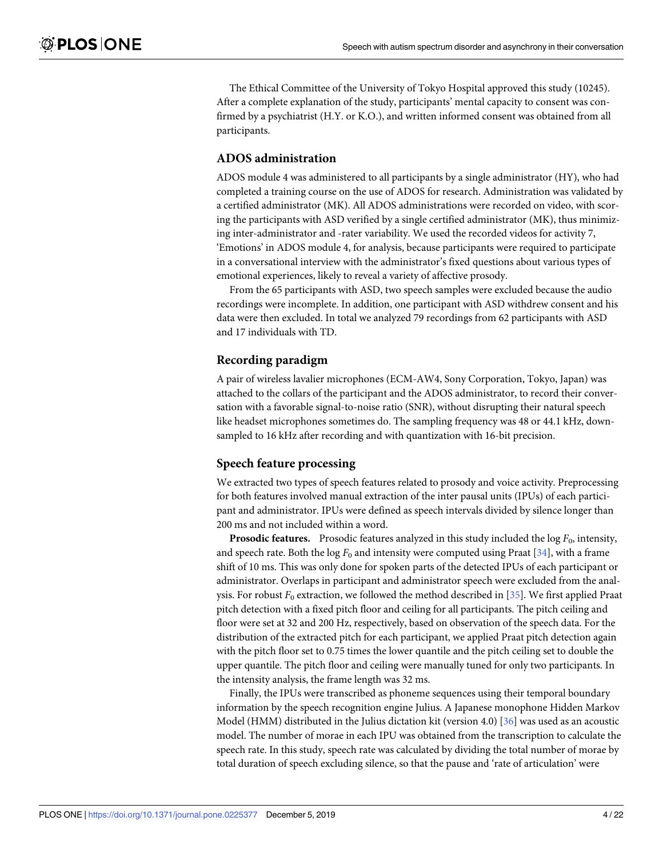<span id="page-3-0"></span>The Ethical Committee of the University of Tokyo Hospital approved this study (10245). After a complete explanation of the study, participants' mental capacity to consent was confirmed by a psychiatrist (H.Y. or K.O.), and written informed consent was obtained from all participants.

### **ADOS administration**

ADOS module 4 was administered to all participants by a single administrator (HY), who had completed a training course on the use of ADOS for research. Administration was validated by a certified administrator (MK). All ADOS administrations were recorded on video, with scoring the participants with ASD verified by a single certified administrator (MK), thus minimizing inter-administrator and -rater variability. We used the recorded videos for activity 7, 'Emotions' in ADOS module 4, for analysis, because participants were required to participate in a conversational interview with the administrator's fixed questions about various types of emotional experiences, likely to reveal a variety of affective prosody.

From the 65 participants with ASD, two speech samples were excluded because the audio recordings were incomplete. In addition, one participant with ASD withdrew consent and his data were then excluded. In total we analyzed 79 recordings from 62 participants with ASD and 17 individuals with TD.

### **Recording paradigm**

A pair of wireless lavalier microphones (ECM-AW4, Sony Corporation, Tokyo, Japan) was attached to the collars of the participant and the ADOS administrator, to record their conversation with a favorable signal-to-noise ratio (SNR), without disrupting their natural speech like headset microphones sometimes do. The sampling frequency was 48 or 44.1 kHz, downsampled to 16 kHz after recording and with quantization with 16-bit precision.

### **Speech feature processing**

We extracted two types of speech features related to prosody and voice activity. Preprocessing for both features involved manual extraction of the inter pausal units (IPUs) of each participant and administrator. IPUs were defined as speech intervals divided by silence longer than 200 ms and not included within a word.

**Prosodic features.** Prosodic features analyzed in this study included the log  $F_0$ , intensity, and speech rate. Both the  $\log F_0$  and intensity were computed using Praat [[34](#page-20-0)], with a frame shift of 10 ms. This was only done for spoken parts of the detected IPUs of each participant or administrator. Overlaps in participant and administrator speech were excluded from the analysis. For robust  $F_0$  extraction, we followed the method described in [[35](#page-20-0)]. We first applied Praat pitch detection with a fixed pitch floor and ceiling for all participants. The pitch ceiling and floor were set at 32 and 200 Hz, respectively, based on observation of the speech data. For the distribution of the extracted pitch for each participant, we applied Praat pitch detection again with the pitch floor set to 0.75 times the lower quantile and the pitch ceiling set to double the upper quantile. The pitch floor and ceiling were manually tuned for only two participants. In the intensity analysis, the frame length was 32 ms.

Finally, the IPUs were transcribed as phoneme sequences using their temporal boundary information by the speech recognition engine Julius. A Japanese monophone Hidden Markov Model (HMM) distributed in the Julius dictation kit (version 4.0) [[36](#page-20-0)] was used as an acoustic model. The number of morae in each IPU was obtained from the transcription to calculate the speech rate. In this study, speech rate was calculated by dividing the total number of morae by total duration of speech excluding silence, so that the pause and 'rate of articulation' were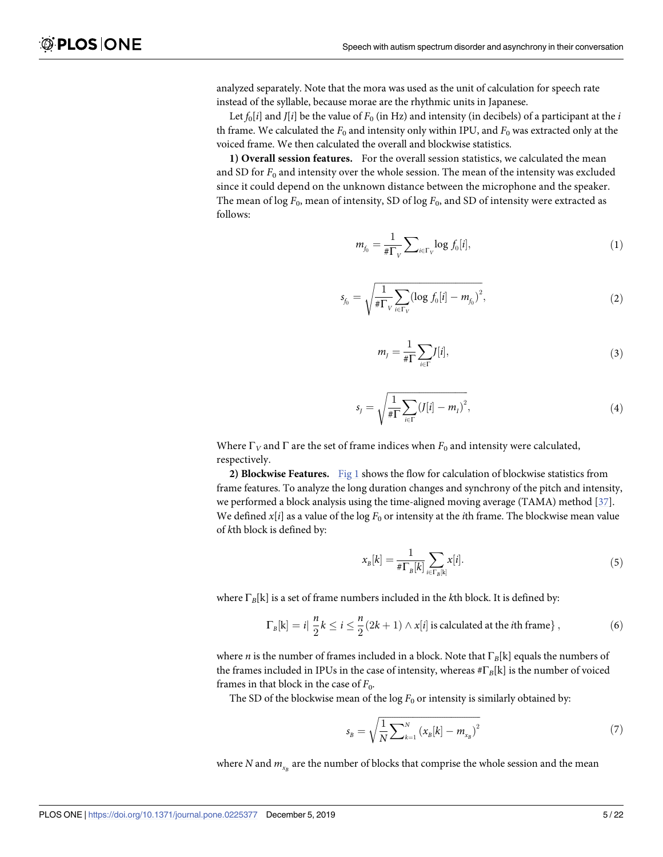<span id="page-4-0"></span>analyzed separately. Note that the mora was used as the unit of calculation for speech rate instead of the syllable, because morae are the rhythmic units in Japanese.

Let  $f_0[i]$  and  $J[i]$  be the value of  $F_0$  (in Hz) and intensity (in decibels) of a participant at the *i* th frame. We calculated the  $F_0$  and intensity only within IPU, and  $F_0$  was extracted only at the voiced frame. We then calculated the overall and blockwise statistics.

**1) Overall session features.** For the overall session statistics, we calculated the mean and SD for  $F_0$  and intensity over the whole session. The mean of the intensity was excluded since it could depend on the unknown distance between the microphone and the speaker. The mean of log  $F_0$ , mean of intensity, SD of log  $F_0$ , and SD of intensity were extracted as follows:

$$
m_{f_0} = \frac{1}{\#\Gamma_v} \sum_{i \in \Gamma_v} \log f_0[i], \tag{1}
$$

$$
s_{f_0} = \sqrt{\frac{1}{\# \Gamma_V} \sum_{i \in \Gamma_V} (\log f_0[i] - m_{f_0})^2},\tag{2}
$$

$$
m_{j} = \frac{1}{\# \Gamma} \sum_{i \in \Gamma} [i], \tag{3}
$$

$$
s_{J} = \sqrt{\frac{1}{\#\Gamma} \sum_{i \in \Gamma} (J[i] - m_{I})^{2}},
$$
\n(4)

Where  $\Gamma_V$  and  $\Gamma$  are the set of frame indices when  $F_0$  and intensity were calculated, respectively.

**2) Blockwise Features.** [Fig](#page-5-0) 1 shows the flow for calculation of blockwise statistics from frame features. To analyze the long duration changes and synchrony of the pitch and intensity, we performed a block analysis using the time-aligned moving average (TAMA) method [[37](#page-20-0)]. We defined  $x[i]$  as a value of the log  $F_0$  or intensity at the *i*th frame. The blockwise mean value of *k*th block is defined by:

$$
x_{B}[k] = \frac{1}{\# \Gamma_{B}[k]} \sum_{i \in \Gamma_{B}[k]} x[i]. \tag{5}
$$

where Γ*B*[k] is a set of frame numbers included in the *k*th block. It is defined by:

$$
\Gamma_B[k] = i\left|\frac{n}{2}k\leq i\leq \frac{n}{2}(2k+1)\wedge x[i]\right| \text{ is calculated at the }i\text{th frame}\},\tag{6}
$$

where *n* is the number of frames included in a block. Note that Γ*B*[k] equals the numbers of the frames included in IPUs in the case of intensity, whereas #Γ*B*[k] is the number of voiced frames in that block in the case of  $F_0$ .

The SD of the blockwise mean of the  $\log F_0$  or intensity is similarly obtained by:

$$
s_{B} = \sqrt{\frac{1}{N} \sum_{k=1}^{N} (x_{B}[k] - m_{x_{B}})^{2}}
$$
(7)

where *N* and  $m_{x_B}$  are the number of blocks that comprise the whole session and the mean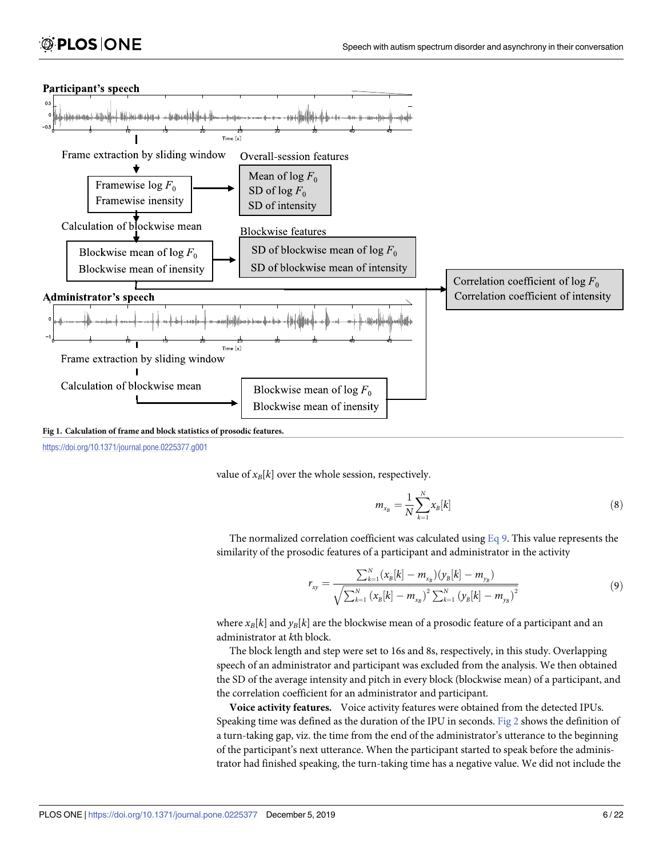<span id="page-5-0"></span>



value of  $x_B[k]$  over the whole session, respectively.

$$
m_{x_B} = \frac{1}{N} \sum_{k=1}^{N} x_k[k]
$$
 (8)

The normalized correlation coefficient was calculated using  $Eq 9$ . This value represents the similarity of the prosodic features of a participant and administrator in the activity

$$
r_{xy} = \frac{\sum_{k=1}^{N} (x_{B}[k] - m_{x_{B}})(y_{B}[k] - m_{y_{B}})}{\sqrt{\sum_{k=1}^{N} (x_{B}[k] - m_{x_{B}})^{2} \sum_{k=1}^{N} (y_{B}[k] - m_{y_{B}})^{2}}}
$$
(9)

where  $x_B[k]$  and  $y_B[k]$  are the blockwise mean of a prosodic feature of a participant and an administrator at *k*th block.

The block length and step were set to 16s and 8s, respectively, in this study. Overlapping speech of an administrator and participant was excluded from the analysis. We then obtained the SD of the average intensity and pitch in every block (blockwise mean) of a participant, and the correlation coefficient for an administrator and participant.

**Voice activity features.** Voice activity features were obtained from the detected IPUs. Speaking time was defined as the duration of the IPU in seconds. [Fig](#page-6-0) 2 shows the definition of a turn-taking gap, viz. the time from the end of the administrator's utterance to the beginning of the participant's next utterance. When the participant started to speak before the administrator had finished speaking, the turn-taking time has a negative value. We did not include the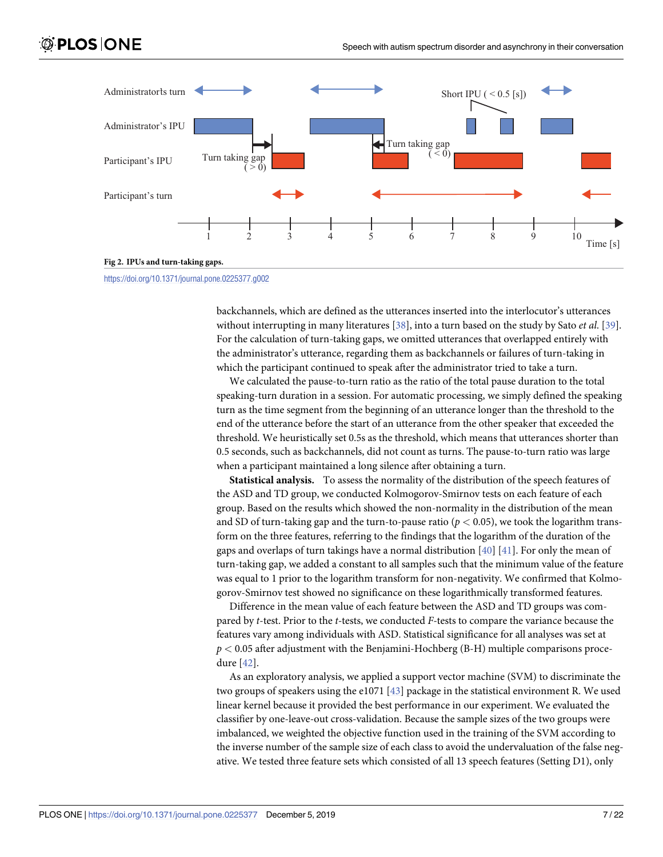<span id="page-6-0"></span>

<https://doi.org/10.1371/journal.pone.0225377.g002>

backchannels, which are defined as the utterances inserted into the interlocutor's utterances without interrupting in many literatures [\[38\]](#page-20-0), into a turn based on the study by Sato *et al*. [\[39\]](#page-20-0). For the calculation of turn-taking gaps, we omitted utterances that overlapped entirely with the administrator's utterance, regarding them as backchannels or failures of turn-taking in which the participant continued to speak after the administrator tried to take a turn.

We calculated the pause-to-turn ratio as the ratio of the total pause duration to the total speaking-turn duration in a session. For automatic processing, we simply defined the speaking turn as the time segment from the beginning of an utterance longer than the threshold to the end of the utterance before the start of an utterance from the other speaker that exceeded the threshold. We heuristically set 0.5s as the threshold, which means that utterances shorter than 0.5 seconds, such as backchannels, did not count as turns. The pause-to-turn ratio was large when a participant maintained a long silence after obtaining a turn.

**Statistical analysis.** To assess the normality of the distribution of the speech features of the ASD and TD group, we conducted Kolmogorov-Smirnov tests on each feature of each group. Based on the results which showed the non-normality in the distribution of the mean and SD of turn-taking gap and the turn-to-pause ratio ( $p < 0.05$ ), we took the logarithm transform on the three features, referring to the findings that the logarithm of the duration of the gaps and overlaps of turn takings have a normal distribution  $[40]$  [[41](#page-21-0)]. For only the mean of turn-taking gap, we added a constant to all samples such that the minimum value of the feature was equal to 1 prior to the logarithm transform for non-negativity. We confirmed that Kolmogorov-Smirnov test showed no significance on these logarithmically transformed features.

Difference in the mean value of each feature between the ASD and TD groups was compared by *t*-test. Prior to the *t-*tests, we conducted *F-*tests to compare the variance because the features vary among individuals with ASD. Statistical significance for all analyses was set at *p <* 0.05 after adjustment with the Benjamini-Hochberg (B-H) multiple comparisons procedure [\[42\]](#page-21-0).

As an exploratory analysis, we applied a support vector machine (SVM) to discriminate the two groups of speakers using the e1071 [\[43\]](#page-21-0) package in the statistical environment R. We used linear kernel because it provided the best performance in our experiment. We evaluated the classifier by one-leave-out cross-validation. Because the sample sizes of the two groups were imbalanced, we weighted the objective function used in the training of the SVM according to the inverse number of the sample size of each class to avoid the undervaluation of the false negative. We tested three feature sets which consisted of all 13 speech features (Setting D1), only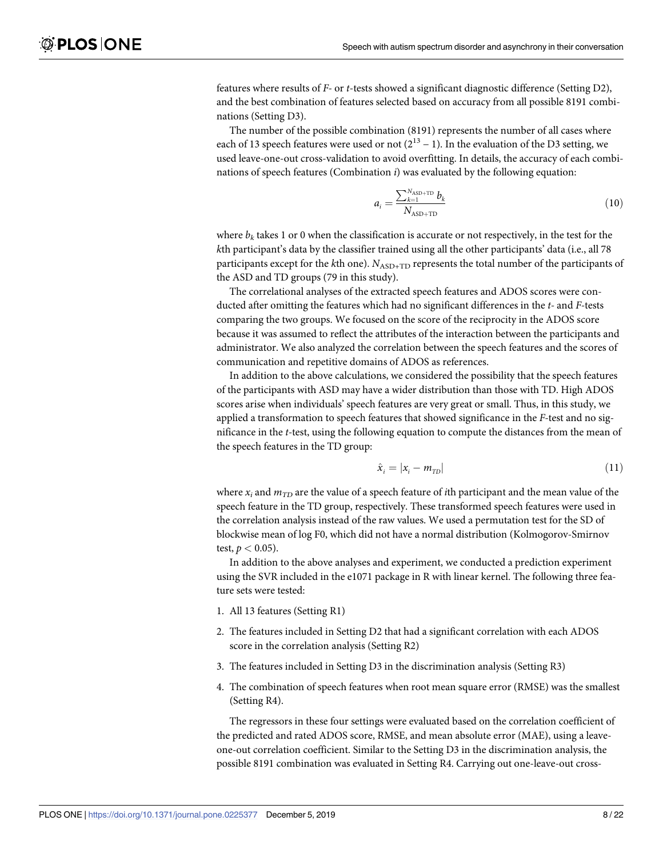<span id="page-7-0"></span>features where results of *F-* or *t*-tests showed a significant diagnostic difference (Setting D2), and the best combination of features selected based on accuracy from all possible 8191 combinations (Setting D3).

The number of the possible combination (8191) represents the number of all cases where each of 13 speech features were used or not  $(2^{13} – 1)$ . In the evaluation of the D3 setting, we used leave-one-out cross-validation to avoid overfitting. In details, the accuracy of each combinations of speech features (Combination *i*) was evaluated by the following equation:

$$
a_{i} = \frac{\sum_{k=1}^{N_{\text{ASD+TD}}} b_{k}}{N_{\text{ASD+TD}}}
$$
(10)

where  $b_k$  takes 1 or 0 when the classification is accurate or not respectively, in the test for the *k*th participant's data by the classifier trained using all the other participants' data (i.e., all 78 participants except for the *k*th one).  $N_{\text{ASD+TD}}$  represents the total number of the participants of the ASD and TD groups (79 in this study).

The correlational analyses of the extracted speech features and ADOS scores were conducted after omitting the features which had no significant differences in the *t-* and *F-*tests comparing the two groups. We focused on the score of the reciprocity in the ADOS score because it was assumed to reflect the attributes of the interaction between the participants and administrator. We also analyzed the correlation between the speech features and the scores of communication and repetitive domains of ADOS as references.

In addition to the above calculations, we considered the possibility that the speech features of the participants with ASD may have a wider distribution than those with TD. High ADOS scores arise when individuals' speech features are very great or small. Thus, in this study, we applied a transformation to speech features that showed significance in the *F-*test and no significance in the *t-*test, using the following equation to compute the distances from the mean of the speech features in the TD group:

$$
\hat{x}_i = |x_i - m_{\text{TD}}| \tag{11}
$$

where  $x_i$  and  $m_{TD}$  are the value of a speech feature of *i*th participant and the mean value of the speech feature in the TD group, respectively. These transformed speech features were used in the correlation analysis instead of the raw values. We used a permutation test for the SD of blockwise mean of log F0, which did not have a normal distribution (Kolmogorov-Smirnov test,  $p < 0.05$ ).

In addition to the above analyses and experiment, we conducted a prediction experiment using the SVR included in the e1071 package in R with linear kernel. The following three feature sets were tested:

- 1. All 13 features (Setting R1)
- 2. The features included in Setting D2 that had a significant correlation with each ADOS score in the correlation analysis (Setting R2)
- 3. The features included in Setting D3 in the discrimination analysis (Setting R3)
- 4. The combination of speech features when root mean square error (RMSE) was the smallest (Setting R4).

The regressors in these four settings were evaluated based on the correlation coefficient of the predicted and rated ADOS score, RMSE, and mean absolute error (MAE), using a leaveone-out correlation coefficient. Similar to the Setting D3 in the discrimination analysis, the possible 8191 combination was evaluated in Setting R4. Carrying out one-leave-out cross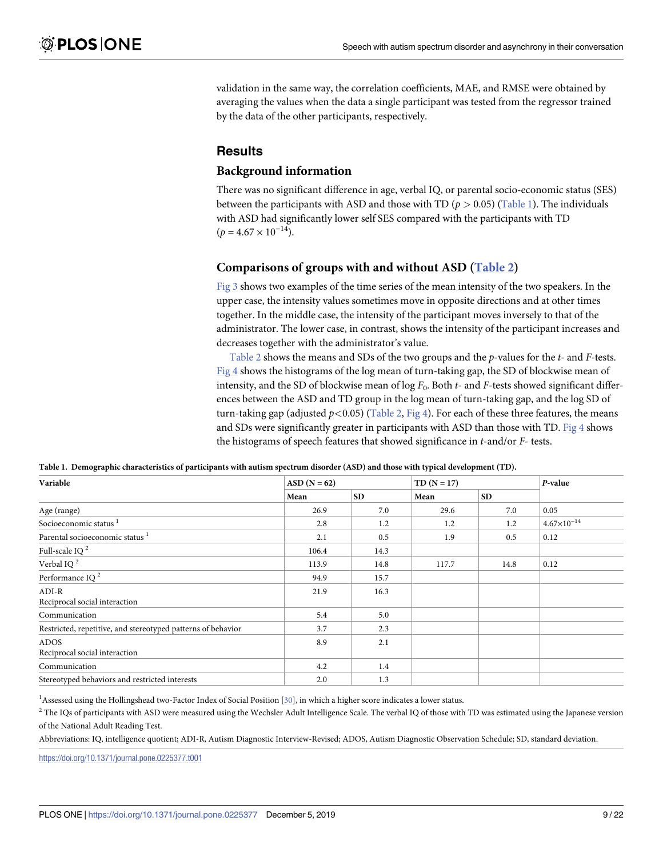<span id="page-8-0"></span>validation in the same way, the correlation coefficients, MAE, and RMSE were obtained by averaging the values when the data a single participant was tested from the regressor trained by the data of the other participants, respectively.

### **Results**

### **Background information**

There was no significant difference in age, verbal IQ, or parental socio-economic status (SES) between the participants with ASD and those with TD ( $p > 0.05$ ) (Table 1). The individuals with ASD had significantly lower self SES compared with the participants with TD  $(p = 4.67 \times 10^{-14})$ .

### **Comparisons of groups with and without ASD [\(Table](#page-9-0) 2)**

[Fig](#page-10-0) 3 shows two examples of the time series of the mean intensity of the two speakers. In the upper case, the intensity values sometimes move in opposite directions and at other times together. In the middle case, the intensity of the participant moves inversely to that of the administrator. The lower case, in contrast, shows the intensity of the participant increases and decreases together with the administrator's value.

[Table](#page-9-0) 2 shows the means and SDs of the two groups and the *p*-values for the *t-* and *F-*tests. [Fig](#page-11-0) 4 shows the histograms of the log mean of turn-taking gap, the SD of blockwise mean of intensity, and the SD of blockwise mean of log  $F_0$ . Both  $t$ - and  $F$ -tests showed significant differences between the ASD and TD group in the log mean of turn-taking gap, and the log SD of turn-taking gap (adjusted  $p$ <0.05) ([Table](#page-9-0) 2, [Fig](#page-11-0) 4). For each of these three features, the means and SDs were significantly greater in participants with ASD than those with TD. [Fig](#page-11-0)  $4$  shows the histograms of speech features that showed significance in *t*-and/or *F*- tests.

| Variable                                                     | $ASD (N = 62)$ |           | $TD(N = 17)$ |           |                      | P-value |
|--------------------------------------------------------------|----------------|-----------|--------------|-----------|----------------------|---------|
|                                                              | Mean           | <b>SD</b> | Mean         | <b>SD</b> |                      |         |
| Age (range)                                                  | 26.9           | 7.0       | 29.6         | 7.0       | 0.05                 |         |
| Socioeconomic status <sup>1</sup>                            | 2.8            | 1.2       | 1.2          | 1.2       | $4.67\times10^{-14}$ |         |
| Parental socioeconomic status <sup>1</sup>                   | 2.1            | 0.5       | 1.9          | 0.5       | 0.12                 |         |
| Full-scale IQ $^2$                                           | 106.4          | 14.3      |              |           |                      |         |
| Verbal IQ $^2$                                               | 113.9          | 14.8      | 117.7        | 14.8      | 0.12                 |         |
| Performance IQ $^2$                                          | 94.9           | 15.7      |              |           |                      |         |
| $ADI-R$<br>Reciprocal social interaction                     | 21.9           | 16.3      |              |           |                      |         |
| Communication                                                | 5.4            | 5.0       |              |           |                      |         |
| Restricted, repetitive, and stereotyped patterns of behavior | 3.7            | 2.3       |              |           |                      |         |
| <b>ADOS</b><br>Reciprocal social interaction                 | 8.9            | 2.1       |              |           |                      |         |
| Communication                                                | 4.2            | 1.4       |              |           |                      |         |
| Stereotyped behaviors and restricted interests               | 2.0            | 1.3       |              |           |                      |         |

Table 1. Demographic characteristics of participants with autism spectrum disorder (ASD) and those with typical development (TD).

<sup>1</sup> Assessed using the Hollingshead two-Factor Index of Social Position [[30](#page-20-0)], in which a higher score indicates a lower status.

 $2$  The IQs of participants with ASD were measured using the Wechsler Adult Intelligence Scale. The verbal IQ of those with TD was estimated using the Japanese version of the National Adult Reading Test.

Abbreviations: IQ, intelligence quotient; ADI-R, Autism Diagnostic Interview-Revised; ADOS, Autism Diagnostic Observation Schedule; SD, standard deviation.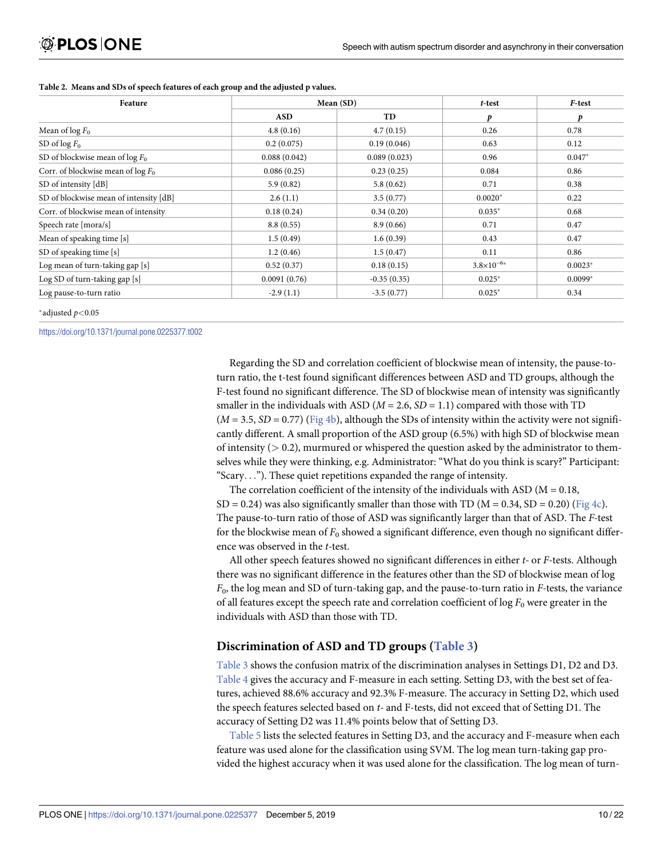| Feature                                |              | Mean (SD)     | t-test              | F-test    |  |
|----------------------------------------|--------------|---------------|---------------------|-----------|--|
|                                        | <b>ASD</b>   | TD            | p                   | p         |  |
| Mean of $\log F_0$                     | 4.8(0.16)    | 4.7(0.15)     | 0.26                | 0.78      |  |
| SD of $\log F_0$                       | 0.2(0.075)   | 0.19(0.046)   | 0.63                | 0.12      |  |
| SD of blockwise mean of $\log F_0$     | 0.088(0.042) | 0.089(0.023)  | 0.96                | $0.047*$  |  |
| Corr. of blockwise mean of $\log F_0$  | 0.086(0.25)  | 0.23(0.25)    | 0.084               | 0.86      |  |
| SD of intensity [dB]                   | 5.9(0.82)    | 5.8(0.62)     | 0.71                | 0.38      |  |
| SD of blockwise mean of intensity [dB] | 2.6(1.1)     | 3.5(0.77)     | $0.0020*$           | 0.22      |  |
| Corr. of blockwise mean of intensity   | 0.18(0.24)   | 0.34(0.20)    | $0.035*$            | 0.68      |  |
| Speech rate [mora/s]                   | 8.8(0.55)    | 8.9(0.66)     | 0.71                | 0.47      |  |
| Mean of speaking time [s]              | 1.5(0.49)    | 1.6(0.39)     | 0.43                | 0.47      |  |
| SD of speaking time [s]                | 1.2(0.46)    | 1.5(0.47)     | 0.11                | 0.86      |  |
| Log mean of turn-taking gap [s]        | 0.52(0.37)   | 0.18(0.15)    | $3.8\times10^{-6*}$ | $0.0023*$ |  |
| Log SD of turn-taking gap [s]          | 0.0091(0.76) | $-0.35(0.35)$ | $0.025*$            | $0.0099*$ |  |
| Log pause-to-turn ratio                | $-2.9(1.1)$  | $-3.5(0.77)$  | $0.025*$            | 0.34      |  |

#### <span id="page-9-0"></span>**[Table](#page-8-0) 2. Means and SDs of speech features of each group and the adjusted p values.**

�adjusted *p<*0.05

<https://doi.org/10.1371/journal.pone.0225377.t002>

Regarding the SD and correlation coefficient of blockwise mean of intensity, the pause-toturn ratio, the t-test found significant differences between ASD and TD groups, although the F-test found no significant difference. The SD of blockwise mean of intensity was significantly smaller in the individuals with ASD ( $M = 2.6$ ,  $SD = 1.1$ ) compared with those with TD  $(M = 3.5, SD = 0.77)$  ([Fig](#page-11-0) 4b), although the SDs of intensity within the activity were not significantly different. A small proportion of the ASD group (6.5%) with high SD of blockwise mean of intensity (*>* 0.2), murmured or whispered the question asked by the administrator to themselves while they were thinking, e.g. Administrator: "What do you think is scary?" Participant: "Scary. . ."). These quiet repetitions expanded the range of intensity.

The correlation coefficient of the intensity of the individuals with ASD ( $M = 0.18$ ,  $SD = 0.24$ ) was also significantly smaller than those with TD (M = 0.34, SD = 0.20) ([Fig](#page-11-0) 4c). The pause-to-turn ratio of those of ASD was significantly larger than that of ASD. The *F-*test for the blockwise mean of *F*<sup>0</sup> showed a significant difference, even though no significant difference was observed in the *t-*test.

All other speech features showed no significant differences in either *t-* or *F-*tests. Although there was no significant difference in the features other than the SD of blockwise mean of log *F*0, the log mean and SD of turn-taking gap, and the pause-to-turn ratio in *F-*tests, the variance of all features except the speech rate and correlation coefficient of  $\log F_0$  were greater in the individuals with ASD than those with TD.

### **Discrimination of ASD and TD groups ([Table](#page-11-0) 3)**

[Table](#page-11-0) 3 shows the confusion matrix of the discrimination analyses in Settings D1, D2 and D3. [Table](#page-12-0) 4 gives the accuracy and F-measure in each setting. Setting D3, with the best set of features, achieved 88.6% accuracy and 92.3% F-measure. The accuracy in Setting D2, which used the speech features selected based on *t-* and F-tests, did not exceed that of Setting D1. The accuracy of Setting D2 was 11.4% points below that of Setting D3.

[Table](#page-12-0) 5 lists the selected features in Setting D3, and the accuracy and F-measure when each feature was used alone for the classification using SVM. The log mean turn-taking gap provided the highest accuracy when it was used alone for the classification. The log mean of turn-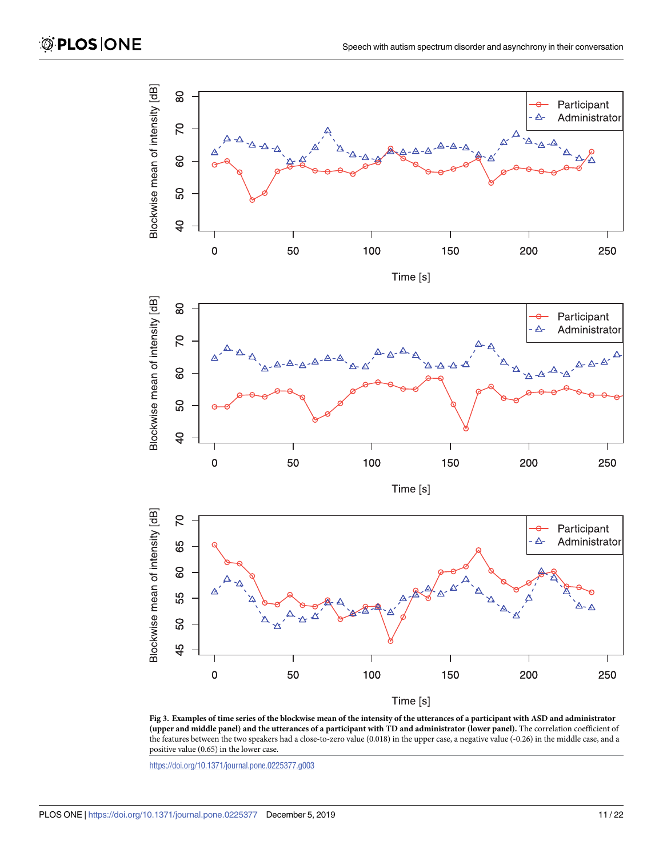<span id="page-10-0"></span>

[Fig](#page-8-0) 3. Examples of time series of the blockwise mean of the intensity of the utterances of a participant with ASD and administrator (upper and middle panel) and the utterances of a participant with TD and administrator (lower panel). The correlation coefficient of the features between the two speakers had a close-to-zero value (0.018) in the upper case, a negative value (-0.26) in the middle case, and a positive value (0.65) in the lower case.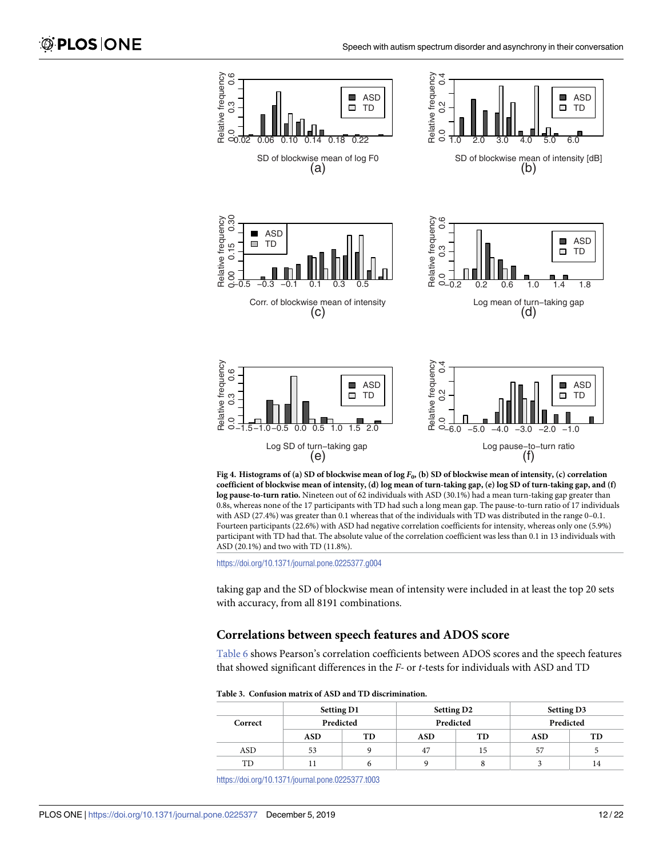<span id="page-11-0"></span>

[Fig](#page-8-0) 4. Histograms of (a) SD of blockwise mean of  $\log F_0$ , (b) SD of blockwise mean of intensity, (c) correlation coefficient of blockwise mean of intensity, (d) log mean of turn-taking gap, (e) log SD of turn-taking gap, and (f) **log pause-to-turn ratio.** Nineteen out of 62 individuals with ASD (30.1%) had a mean turn-taking gap greater than 0.8s, whereas none of the 17 participants with TD had such a long mean gap. The pause-to-turn ratio of 17 individuals with ASD (27.4%) was greater than 0.1 whereas that of the individuals with TD was distributed in the range 0-0.1. Fourteen participants (22.6%) with ASD had negative correlation coefficients for intensity, whereas only one (5.9%) participant with TD had that. The absolute value of the correlation coefficient was less than 0.1 in 13 individuals with ASD (20.1%) and two with TD (11.8%).

taking gap and the SD of blockwise mean of intensity were included in at least the top 20 sets with accuracy, from all 8191 combinations.

### **Correlations between speech features and ADOS score**

[Table](#page-12-0) 6 shows Pearson's correlation coefficients between ADOS scores and the speech features that showed significant differences in the *F-* or *t-*tests for individuals with ASD and TD

**[Table](#page-9-0) 3. Confusion matrix of ASD and TD discrimination.**

|         | <b>Setting D1</b> |           | <b>Setting D2</b> |           |     |    | <b>Setting D3</b> |           |
|---------|-------------------|-----------|-------------------|-----------|-----|----|-------------------|-----------|
| Correct |                   | Predicted |                   | Predicted |     |    |                   | Predicted |
|         | <b>ASD</b>        | TD        | <b>ASD</b>        | TD        | ASD | TD |                   |           |
| ASD     | 53                | a         | 47                | 15        | 57  |    |                   |           |
| TD      |                   | o         |                   |           |     | 14 |                   |           |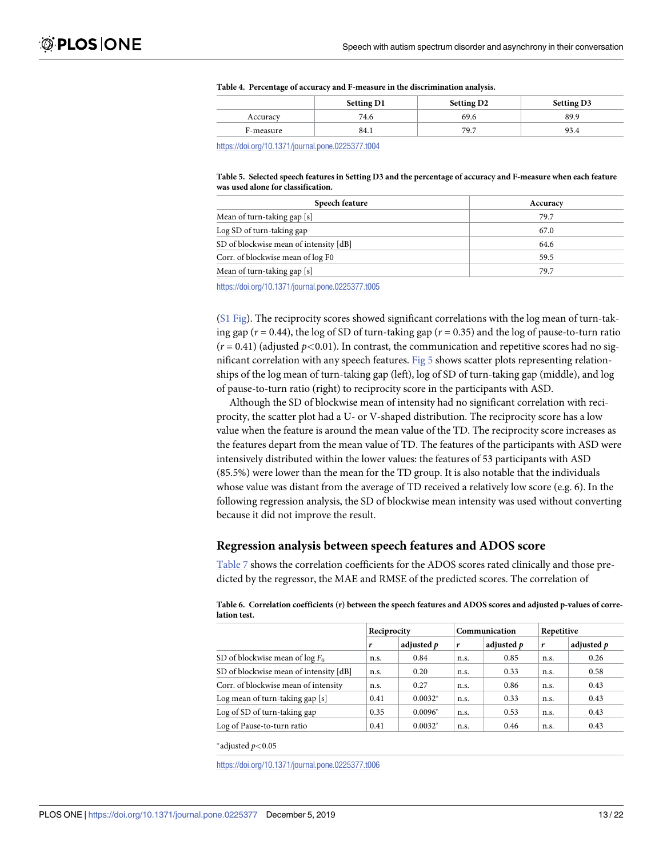|           | <b>Setting D1</b> | <b>Setting D2</b> | <b>Setting D3</b> |
|-----------|-------------------|-------------------|-------------------|
| Accuracy  | 74.6              | 69.6              | 89.9              |
| F-measure | 84.1              | 79.7              | 93.4              |

#### <span id="page-12-0"></span>**[Table](#page-9-0) 4. Percentage of accuracy and F-measure in the discrimination analysis.**

<https://doi.org/10.1371/journal.pone.0225377.t004>

#### [Table](#page-9-0) 5. Selected speech features in Setting D3 and the percentage of accuracy and F-measure when each feature **was used alone for classification.**

| Speech feature                         | Accuracy |
|----------------------------------------|----------|
| Mean of turn-taking gap [s]            | 79.7     |
| Log SD of turn-taking gap              | 67.0     |
| SD of blockwise mean of intensity [dB] | 64.6     |
| Corr. of blockwise mean of log F0      | 59.5     |
| Mean of turn-taking gap [s]            | 79.7     |
|                                        |          |

<https://doi.org/10.1371/journal.pone.0225377.t005>

(S1 [Fig\)](#page-18-0). The reciprocity scores showed significant correlations with the log mean of turn-taking gap (*r* = 0.44), the log of SD of turn-taking gap (*r* = 0.35) and the log of pause-to-turn ratio  $(r = 0.41)$  (adjusted  $p < 0.01$ ). In contrast, the communication and repetitive scores had no significant correlation with any speech features. [Fig](#page-13-0) 5 shows scatter plots representing relationships of the log mean of turn-taking gap (left), log of SD of turn-taking gap (middle), and log of pause-to-turn ratio (right) to reciprocity score in the participants with ASD.

Although the SD of blockwise mean of intensity had no significant correlation with reciprocity, the scatter plot had a U- or V-shaped distribution. The reciprocity score has a low value when the feature is around the mean value of the TD. The reciprocity score increases as the features depart from the mean value of TD. The features of the participants with ASD were intensively distributed within the lower values: the features of 53 participants with ASD (85.5%) were lower than the mean for the TD group. It is also notable that the individuals whose value was distant from the average of TD received a relatively low score (e.g. 6). In the following regression analysis, the SD of blockwise mean intensity was used without converting because it did not improve the result.

### **Regression analysis between speech features and ADOS score**

[Table](#page-13-0) 7 shows the correlation coefficients for the ADOS scores rated clinically and those predicted by the regressor, the MAE and RMSE of the predicted scores. The correlation of

|                                        | Reciprocity |            | Communication |            | Repetitive |            |
|----------------------------------------|-------------|------------|---------------|------------|------------|------------|
|                                        | r           | adjusted p | r             | adjusted p | r          | adjusted p |
| SD of blockwise mean of $\log F_0$     | n.s.        | 0.84       | n.s.          | 0.85       | n.s.       | 0.26       |
| SD of blockwise mean of intensity [dB] | n.s.        | 0.20       | n.s.          | 0.33       | n.s.       | 0.58       |
| Corr. of blockwise mean of intensity   | n.s.        | 0.27       | n.s.          | 0.86       | n.s.       | 0.43       |
| Log mean of turn-taking gap [s]        | 0.41        | $0.0032*$  | n.s.          | 0.33       | n.s.       | 0.43       |
| Log of SD of turn-taking gap           | 0.35        | $0.0096*$  | n.s.          | 0.53       | n.s.       | 0.43       |
| Log of Pause-to-turn ratio             | 0.41        | $0.0032*$  | n.s.          | 0.46       | n.s.       | 0.43       |

| Table 6. Correlation coefficients (r) between the speech features and ADOS scores and adjusted p-values of corre- |  |
|-------------------------------------------------------------------------------------------------------------------|--|
| lation test.                                                                                                      |  |

�adjusted *p<*0.05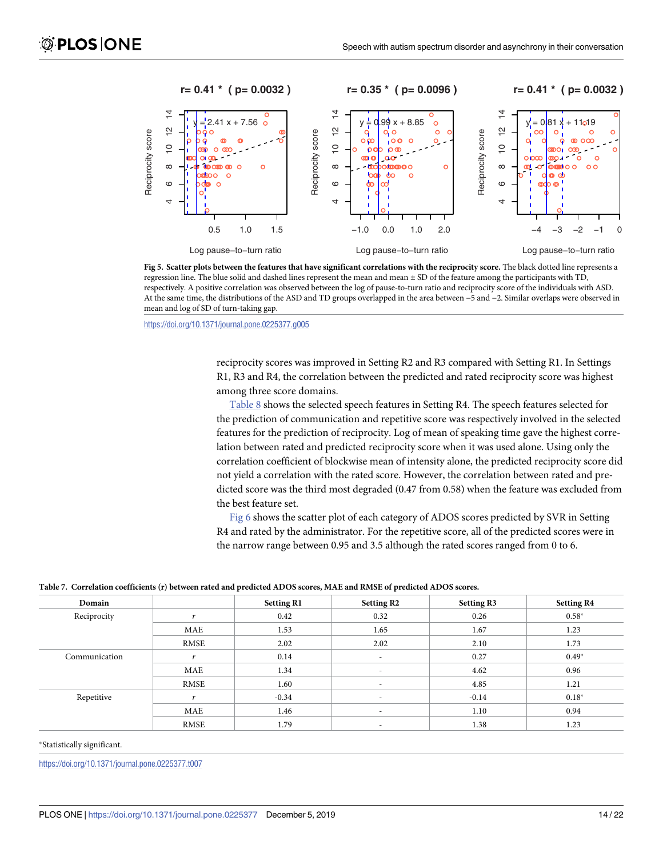<span id="page-13-0"></span>

[Fig](#page-12-0) 5. Scatter plots between the features that have significant correlations with the reciprocity score. The black dotted line represents a regression line. The blue solid and dashed lines represent the mean and mean ± SD of the feature among the participants with TD, respectively. A positive correlation was observed between the log of pause-to-turn ratio and reciprocity score of the individuals with ASD. At the same time, the distributions of the ASD and TD groups overlapped in the area between −5 and −2. Similar overlaps were observed in mean and log of SD of turn-taking gap.

reciprocity scores was improved in Setting R2 and R3 compared with Setting R1. In Settings R1, R3 and R4, the correlation between the predicted and rated reciprocity score was highest among three score domains.

[Table](#page-14-0) 8 shows the selected speech features in Setting R4. The speech features selected for the prediction of communication and repetitive score was respectively involved in the selected features for the prediction of reciprocity. Log of mean of speaking time gave the highest correlation between rated and predicted reciprocity score when it was used alone. Using only the correlation coefficient of blockwise mean of intensity alone, the predicted reciprocity score did not yield a correlation with the rated score. However, the correlation between rated and predicted score was the third most degraded (0.47 from 0.58) when the feature was excluded from the best feature set.

[Fig](#page-14-0) 6 shows the scatter plot of each category of ADOS scores predicted by SVR in Setting R4 and rated by the administrator. For the repetitive score, all of the predicted scores were in the narrow range between 0.95 and 3.5 although the rated scores ranged from 0 to 6.

| Domain        |          | <b>Setting R1</b> | <b>Setting R2</b>        | Setting R3 | <b>Setting R4</b> |
|---------------|----------|-------------------|--------------------------|------------|-------------------|
| Reciprocity   | <b>A</b> | 0.42              | 0.32                     | 0.26       | $0.58*$           |
|               | MAE      | 1.53              | 1.65                     | 1.67       | 1.23              |
|               | RMSE     | 2.02              | 2.02                     | 2.10       | 1.73              |
| Communication |          | 0.14              | $\overline{\phantom{a}}$ | 0.27       | $0.49*$           |
|               | MAE      | 1.34              |                          | 4.62       | 0.96              |
|               | RMSE     | 1.60              | $\overline{\phantom{a}}$ | 4.85       | 1.21              |
| Repetitive    |          | $-0.34$           | $\overline{\phantom{a}}$ | $-0.14$    | $0.18*$           |
|               | MAE      | 1.46              | $\overline{\phantom{a}}$ | 1.10       | 0.94              |
|               | RMSE     | 1.79              |                          | 1.38       | 1.23              |

[Table](#page-12-0) 7. Correlation coefficients (r) between rated and predicted ADOS scores, MAE and RMSE of predicted ADOS scores.

#### �Statistically significant.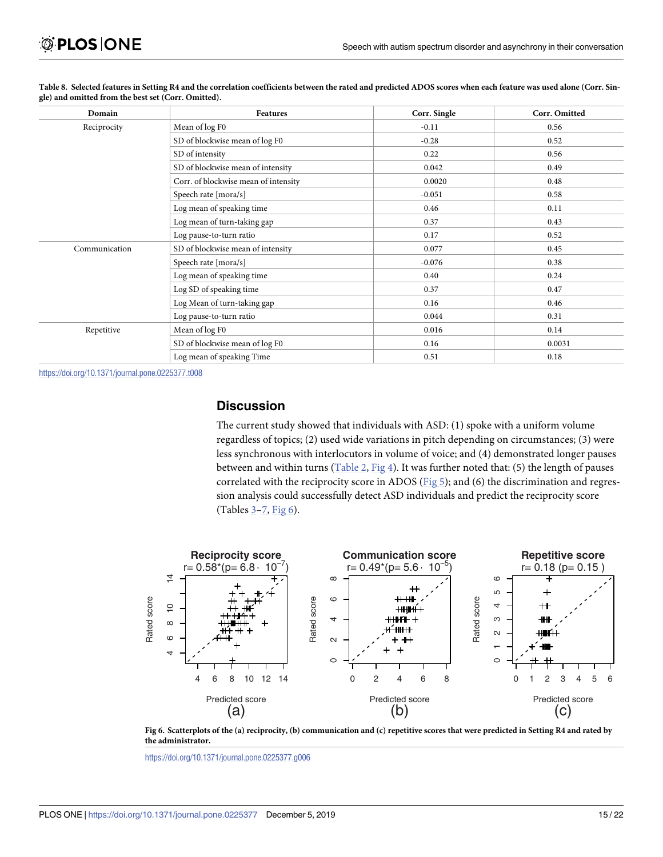| Domain        | Features                             | Corr. Single | Corr. Omitted |
|---------------|--------------------------------------|--------------|---------------|
| Reciprocity   | Mean of log F0                       | $-0.11$      | 0.56          |
|               | SD of blockwise mean of log F0       | $-0.28$      | 0.52          |
|               | SD of intensity                      | 0.22         | 0.56          |
|               | SD of blockwise mean of intensity    | 0.042        | 0.49          |
|               | Corr. of blockwise mean of intensity | 0.0020       | 0.48          |
|               | Speech rate [mora/s]                 | $-0.051$     | 0.58          |
|               | Log mean of speaking time            | 0.46         | 0.11          |
|               | Log mean of turn-taking gap          | 0.37         | 0.43          |
|               | Log pause-to-turn ratio              | 0.17         | 0.52          |
| Communication | SD of blockwise mean of intensity    | 0.077        | 0.45          |
|               | Speech rate [mora/s]                 | $-0.076$     | 0.38          |
|               | Log mean of speaking time            | 0.40         | 0.24          |
|               | Log SD of speaking time              | 0.37         | 0.47          |
|               | Log Mean of turn-taking gap          | 0.16         | 0.46          |
|               | Log pause-to-turn ratio              | 0.044        | 0.31          |
| Repetitive    | Mean of log F0                       | 0.016        | 0.14          |
|               | SD of blockwise mean of log F0       | 0.16         | 0.0031        |
|               | Log mean of speaking Time            | 0.51         | 0.18          |

<span id="page-14-0"></span>[Table](#page-13-0) 8. Selected features in Setting R4 and the correlation coefficients between the rated and predicted ADOS scores when each feature was used alone (Corr. Sin**gle) and omitted from the best set (Corr. Omitted).**

### **Discussion**

The current study showed that individuals with ASD: (1) spoke with a uniform volume regardless of topics; (2) used wide variations in pitch depending on circumstances; (3) were less synchronous with interlocutors in volume of voice; and (4) demonstrated longer pauses between and within turns ([Table](#page-9-0) 2, [Fig](#page-11-0) 4). It was further noted that: (5) the length of pauses correlated with the reciprocity score in ADOS ([Fig](#page-13-0) 5); and (6) the discrimination and regression analysis could successfully detect ASD individuals and predict the reciprocity score (Tables [3–](#page-11-0)[7,](#page-13-0) Fig 6).



[Fig](#page-13-0) 6. Scatterplots of the (a) reciprocity, (b) communication and (c) repetitive scores that were predicted in Setting R4 and rated by **the administrator.**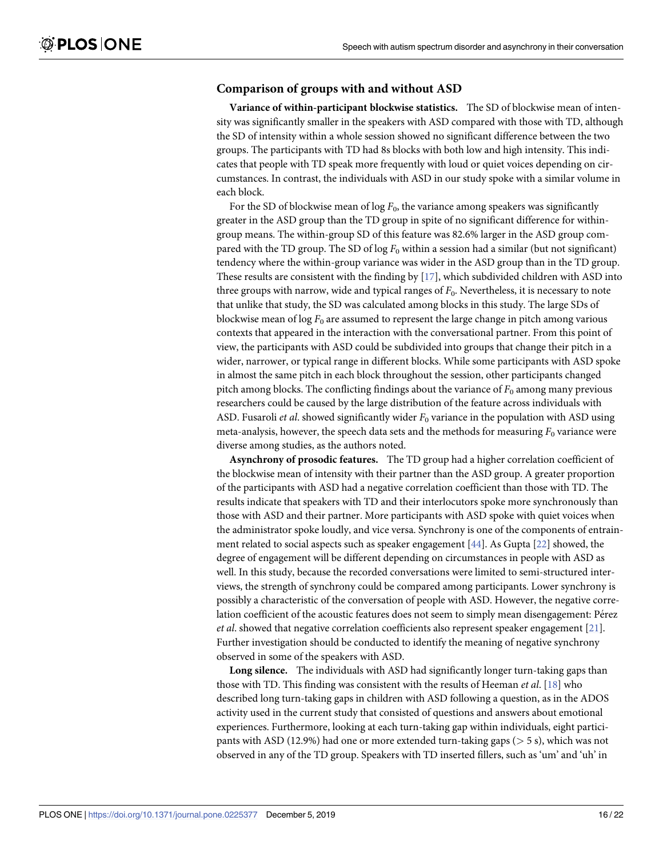### <span id="page-15-0"></span>**Comparison of groups with and without ASD**

**Variance of within-participant blockwise statistics.** The SD of blockwise mean of intensity was significantly smaller in the speakers with ASD compared with those with TD, although the SD of intensity within a whole session showed no significant difference between the two groups. The participants with TD had 8s blocks with both low and high intensity. This indicates that people with TD speak more frequently with loud or quiet voices depending on circumstances. In contrast, the individuals with ASD in our study spoke with a similar volume in each block.

For the SD of blockwise mean of  $\log F_0$ , the variance among speakers was significantly greater in the ASD group than the TD group in spite of no significant difference for withingroup means. The within-group SD of this feature was 82.6% larger in the ASD group compared with the TD group. The SD of log  $F_0$  within a session had a similar (but not significant) tendency where the within-group variance was wider in the ASD group than in the TD group. These results are consistent with the finding by  $[17]$ , which subdivided children with ASD into three groups with narrow, wide and typical ranges of *F*0. Nevertheless, it is necessary to note that unlike that study, the SD was calculated among blocks in this study. The large SDs of blockwise mean of  $\log F_0$  are assumed to represent the large change in pitch among various contexts that appeared in the interaction with the conversational partner. From this point of view, the participants with ASD could be subdivided into groups that change their pitch in a wider, narrower, or typical range in different blocks. While some participants with ASD spoke in almost the same pitch in each block throughout the session, other participants changed pitch among blocks. The conflicting findings about the variance of  $F_0$  among many previous researchers could be caused by the large distribution of the feature across individuals with ASD. Fusaroli *et al.* showed significantly wider  $F_0$  variance in the population with ASD using meta-analysis, however, the speech data sets and the methods for measuring  $F_0$  variance were diverse among studies, as the authors noted.

**Asynchrony of prosodic features.** The TD group had a higher correlation coefficient of the blockwise mean of intensity with their partner than the ASD group. A greater proportion of the participants with ASD had a negative correlation coefficient than those with TD. The results indicate that speakers with TD and their interlocutors spoke more synchronously than those with ASD and their partner. More participants with ASD spoke with quiet voices when the administrator spoke loudly, and vice versa. Synchrony is one of the components of entrainment related to social aspects such as speaker engagement [\[44\]](#page-21-0). As Gupta [[22](#page-20-0)] showed, the degree of engagement will be different depending on circumstances in people with ASD as well. In this study, because the recorded conversations were limited to semi-structured interviews, the strength of synchrony could be compared among participants. Lower synchrony is possibly a characteristic of the conversation of people with ASD. However, the negative correlation coefficient of the acoustic features does not seem to simply mean disengagement: Pérez *et al*. showed that negative correlation coefficients also represent speaker engagement [\[21](#page-20-0)]. Further investigation should be conducted to identify the meaning of negative synchrony observed in some of the speakers with ASD.

**Long silence.** The individuals with ASD had significantly longer turn-taking gaps than those with TD. This finding was consistent with the results of Heeman *et al*. [[18](#page-19-0)] who described long turn-taking gaps in children with ASD following a question, as in the ADOS activity used in the current study that consisted of questions and answers about emotional experiences. Furthermore, looking at each turn-taking gap within individuals, eight participants with ASD (12.9%) had one or more extended turn-taking gaps (*>* 5 s), which was not observed in any of the TD group. Speakers with TD inserted fillers, such as 'um' and 'uh' in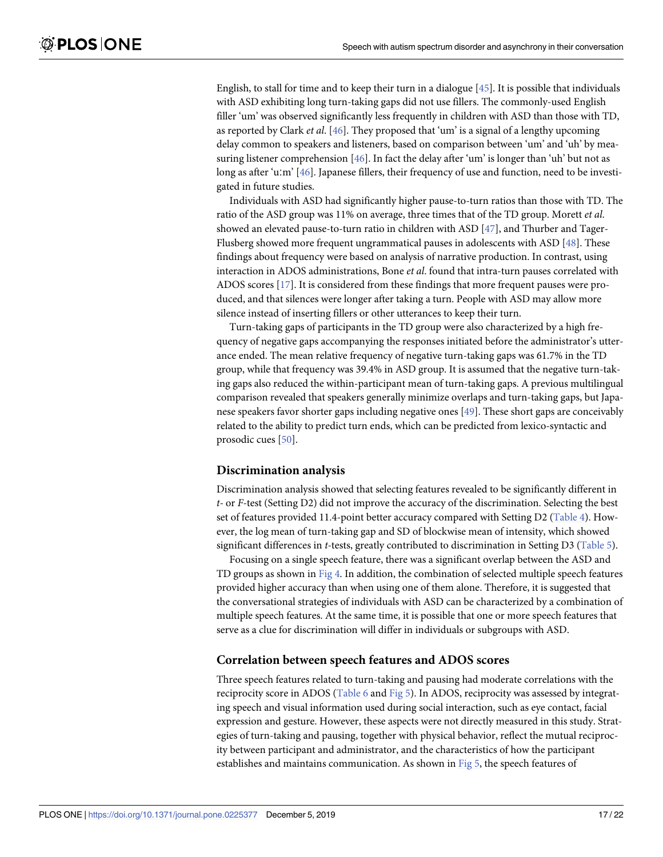<span id="page-16-0"></span>English, to stall for time and to keep their turn in a dialogue [\[45\]](#page-21-0). It is possible that individuals with ASD exhibiting long turn-taking gaps did not use fillers. The commonly-used English filler 'um' was observed significantly less frequently in children with ASD than those with TD, as reported by Clark *et al*. [\[46\]](#page-21-0). They proposed that 'um' is a signal of a lengthy upcoming delay common to speakers and listeners, based on comparison between 'um' and 'uh' by measuring listener comprehension [\[46\]](#page-21-0). In fact the delay after 'um' is longer than 'uh' but not as long as after 'uːm' [[46](#page-21-0)]. Japanese fillers, their frequency of use and function, need to be investigated in future studies.

Individuals with ASD had significantly higher pause-to-turn ratios than those with TD. The ratio of the ASD group was 11% on average, three times that of the TD group. Morett *et al*. showed an elevated pause-to-turn ratio in children with ASD [[47](#page-21-0)], and Thurber and Tager-Flusberg showed more frequent ungrammatical pauses in adolescents with ASD [[48](#page-21-0)]. These findings about frequency were based on analysis of narrative production. In contrast, using interaction in ADOS administrations, Bone *et al*. found that intra-turn pauses correlated with ADOS scores [[17](#page-19-0)]. It is considered from these findings that more frequent pauses were produced, and that silences were longer after taking a turn. People with ASD may allow more silence instead of inserting fillers or other utterances to keep their turn.

Turn-taking gaps of participants in the TD group were also characterized by a high frequency of negative gaps accompanying the responses initiated before the administrator's utterance ended. The mean relative frequency of negative turn-taking gaps was 61.7% in the TD group, while that frequency was 39.4% in ASD group. It is assumed that the negative turn-taking gaps also reduced the within-participant mean of turn-taking gaps. A previous multilingual comparison revealed that speakers generally minimize overlaps and turn-taking gaps, but Japanese speakers favor shorter gaps including negative ones [[49](#page-21-0)]. These short gaps are conceivably related to the ability to predict turn ends, which can be predicted from lexico-syntactic and prosodic cues [\[50](#page-21-0)].

### **Discrimination analysis**

Discrimination analysis showed that selecting features revealed to be significantly different in *t-* or *F-*test (Setting D2) did not improve the accuracy of the discrimination. Selecting the best set of features provided 11.4-point better accuracy compared with Setting D2 [\(Table](#page-12-0) 4). However, the log mean of turn-taking gap and SD of blockwise mean of intensity, which showed significant differences in *t-*tests, greatly contributed to discrimination in Setting D3 [\(Table](#page-12-0) 5).

Focusing on a single speech feature, there was a significant overlap between the ASD and TD groups as shown in [Fig](#page-11-0) 4. In addition, the combination of selected multiple speech features provided higher accuracy than when using one of them alone. Therefore, it is suggested that the conversational strategies of individuals with ASD can be characterized by a combination of multiple speech features. At the same time, it is possible that one or more speech features that serve as a clue for discrimination will differ in individuals or subgroups with ASD.

### **Correlation between speech features and ADOS scores**

Three speech features related to turn-taking and pausing had moderate correlations with the reciprocity score in ADOS ([Table](#page-12-0) 6 and [Fig](#page-13-0) 5). In ADOS, reciprocity was assessed by integrating speech and visual information used during social interaction, such as eye contact, facial expression and gesture. However, these aspects were not directly measured in this study. Strategies of turn-taking and pausing, together with physical behavior, reflect the mutual reciprocity between participant and administrator, and the characteristics of how the participant establishes and maintains communication. As shown in [Fig](#page-13-0) 5, the speech features of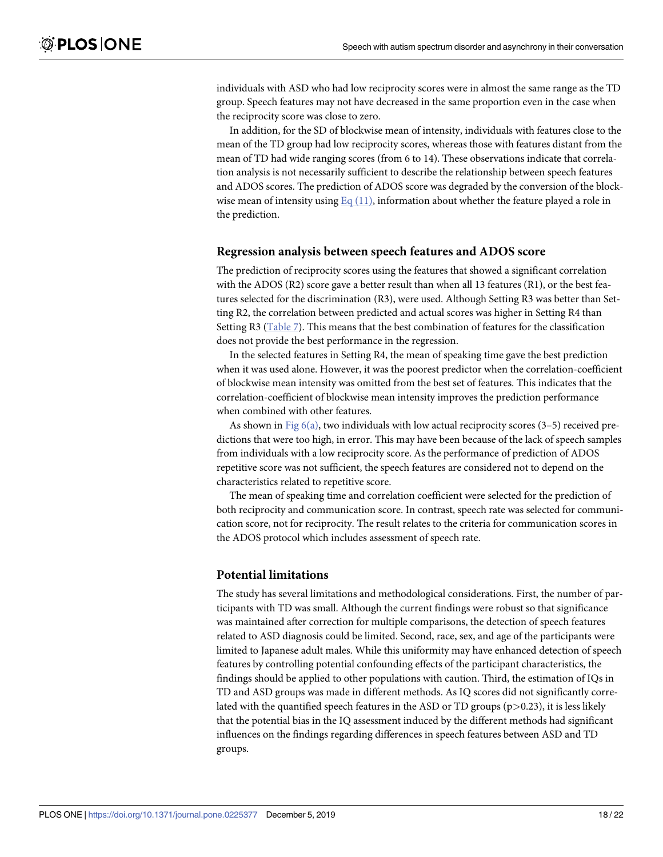individuals with ASD who had low reciprocity scores were in almost the same range as the TD group. Speech features may not have decreased in the same proportion even in the case when the reciprocity score was close to zero.

In addition, for the SD of blockwise mean of intensity, individuals with features close to the mean of the TD group had low reciprocity scores, whereas those with features distant from the mean of TD had wide ranging scores (from 6 to 14). These observations indicate that correlation analysis is not necessarily sufficient to describe the relationship between speech features and ADOS scores. The prediction of ADOS score was degraded by the conversion of the blockwise mean of intensity using Eq  $(11)$ , information about whether the feature played a role in the prediction.

### **Regression analysis between speech features and ADOS score**

The prediction of reciprocity scores using the features that showed a significant correlation with the ADOS (R2) score gave a better result than when all 13 features (R1), or the best features selected for the discrimination (R3), were used. Although Setting R3 was better than Setting R2, the correlation between predicted and actual scores was higher in Setting R4 than Setting R3 ([Table](#page-13-0) 7). This means that the best combination of features for the classification does not provide the best performance in the regression.

In the selected features in Setting R4, the mean of speaking time gave the best prediction when it was used alone. However, it was the poorest predictor when the correlation-coefficient of blockwise mean intensity was omitted from the best set of features. This indicates that the correlation-coefficient of blockwise mean intensity improves the prediction performance when combined with other features.

As shown in Fig  $6(a)$ , two individuals with low actual reciprocity scores (3–5) received predictions that were too high, in error. This may have been because of the lack of speech samples from individuals with a low reciprocity score. As the performance of prediction of ADOS repetitive score was not sufficient, the speech features are considered not to depend on the characteristics related to repetitive score.

The mean of speaking time and correlation coefficient were selected for the prediction of both reciprocity and communication score. In contrast, speech rate was selected for communication score, not for reciprocity. The result relates to the criteria for communication scores in the ADOS protocol which includes assessment of speech rate.

### **Potential limitations**

The study has several limitations and methodological considerations. First, the number of participants with TD was small. Although the current findings were robust so that significance was maintained after correction for multiple comparisons, the detection of speech features related to ASD diagnosis could be limited. Second, race, sex, and age of the participants were limited to Japanese adult males. While this uniformity may have enhanced detection of speech features by controlling potential confounding effects of the participant characteristics, the findings should be applied to other populations with caution. Third, the estimation of IQs in TD and ASD groups was made in different methods. As IQ scores did not significantly correlated with the quantified speech features in the ASD or TD groups (p*>*0.23), it is less likely that the potential bias in the IQ assessment induced by the different methods had significant influences on the findings regarding differences in speech features between ASD and TD groups.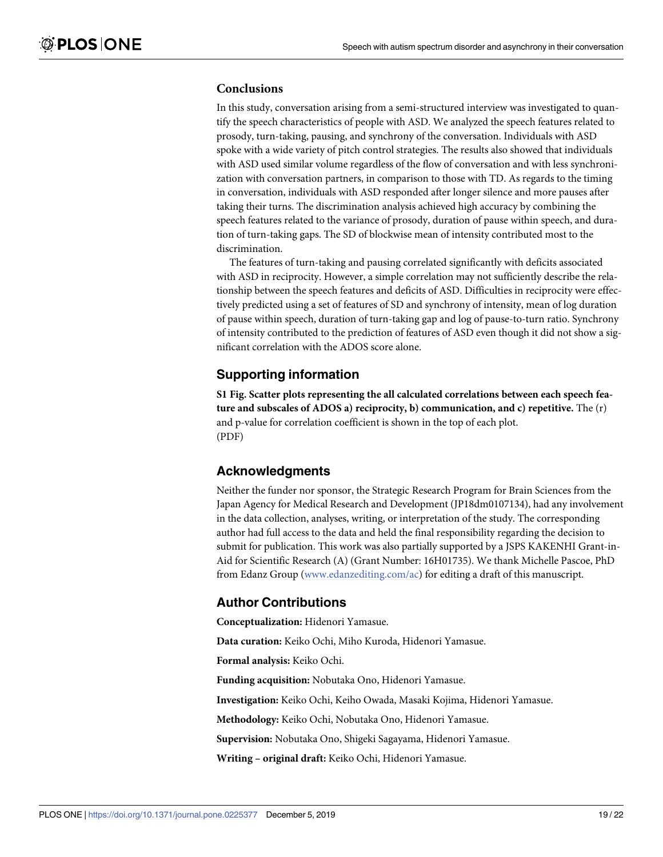### <span id="page-18-0"></span>**Conclusions**

In this study, conversation arising from a semi-structured interview was investigated to quantify the speech characteristics of people with ASD. We analyzed the speech features related to prosody, turn-taking, pausing, and synchrony of the conversation. Individuals with ASD spoke with a wide variety of pitch control strategies. The results also showed that individuals with ASD used similar volume regardless of the flow of conversation and with less synchronization with conversation partners, in comparison to those with TD. As regards to the timing in conversation, individuals with ASD responded after longer silence and more pauses after taking their turns. The discrimination analysis achieved high accuracy by combining the speech features related to the variance of prosody, duration of pause within speech, and duration of turn-taking gaps. The SD of blockwise mean of intensity contributed most to the discrimination.

The features of turn-taking and pausing correlated significantly with deficits associated with ASD in reciprocity. However, a simple correlation may not sufficiently describe the relationship between the speech features and deficits of ASD. Difficulties in reciprocity were effectively predicted using a set of features of SD and synchrony of intensity, mean of log duration of pause within speech, duration of turn-taking gap and log of pause-to-turn ratio. Synchrony of intensity contributed to the prediction of features of ASD even though it did not show a significant correlation with the ADOS score alone.

### **Supporting information**

**S1 [Fig](http://www.plosone.org/article/fetchSingleRepresentation.action?uri=info:doi/10.1371/journal.pone.0225377.s001). Scatter plots representing the all calculated correlations between each speech feature and subscales of ADOS a) reciprocity, b) communication, and c) repetitive.** The (r) and p-value for correlation coefficient is shown in the top of each plot. (PDF)

### **Acknowledgments**

Neither the funder nor sponsor, the Strategic Research Program for Brain Sciences from the Japan Agency for Medical Research and Development (JP18dm0107134), had any involvement in the data collection, analyses, writing, or interpretation of the study. The corresponding author had full access to the data and held the final responsibility regarding the decision to submit for publication. This work was also partially supported by a JSPS KAKENHI Grant-in-Aid for Scientific Research (A) (Grant Number: 16H01735). We thank Michelle Pascoe, PhD from Edanz Group [\(www.edanzediting.com/ac\)](http://www.edanzediting.com/ac) for editing a draft of this manuscript.

### **Author Contributions**

**Conceptualization:** Hidenori Yamasue.

**Data curation:** Keiko Ochi, Miho Kuroda, Hidenori Yamasue.

**Formal analysis:** Keiko Ochi.

**Funding acquisition:** Nobutaka Ono, Hidenori Yamasue.

**Investigation:** Keiko Ochi, Keiho Owada, Masaki Kojima, Hidenori Yamasue.

**Methodology:** Keiko Ochi, Nobutaka Ono, Hidenori Yamasue.

**Supervision:** Nobutaka Ono, Shigeki Sagayama, Hidenori Yamasue.

**Writing – original draft:** Keiko Ochi, Hidenori Yamasue.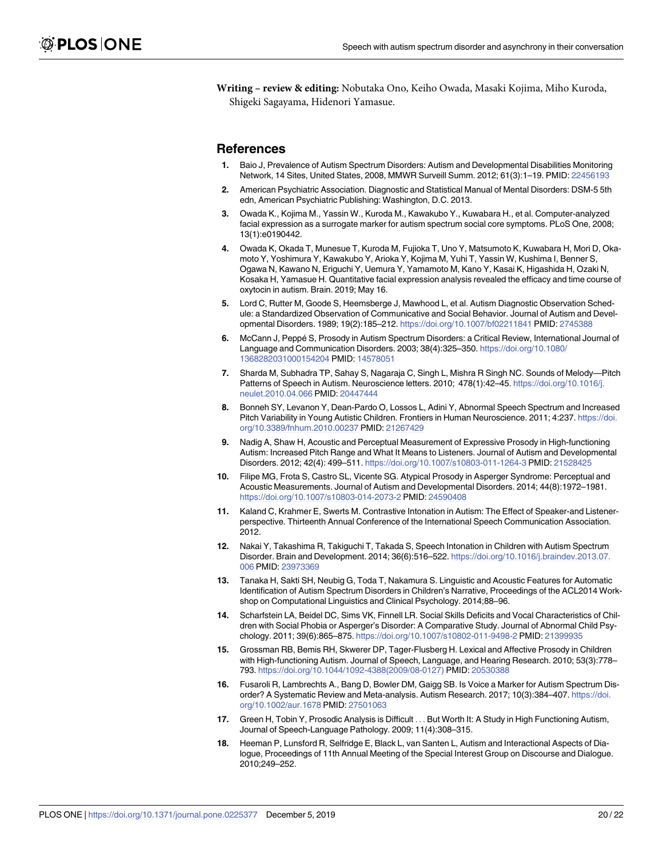<span id="page-19-0"></span>**Writing – review & editing:** Nobutaka Ono, Keiho Owada, Masaki Kojima, Miho Kuroda, Shigeki Sagayama, Hidenori Yamasue.

### **References**

- **[1](#page-1-0).** Baio J, Prevalence of Autism Spectrum Disorders: Autism and Developmental Disabilities Monitoring Network, 14 Sites, United States, 2008, MMWR Surveill Summ. 2012; 61(3):1–19. PMID: [22456193](http://www.ncbi.nlm.nih.gov/pubmed/22456193)
- **[2](#page-1-0).** American Psychiatric Association. Diagnostic and Statistical Manual of Mental Disorders: DSM-5 5th edn, American Psychiatric Publishing: Washington, D.C. 2013.
- **[3](#page-1-0).** Owada K., Kojima M., Yassin W., Kuroda M., Kawakubo Y., Kuwabara H., et al. Computer-analyzed facial expression as a surrogate marker for autism spectrum social core symptoms. PLoS One, 2008; 13(1):e0190442.
- **[4](#page-1-0).** Owada K, Okada T, Munesue T, Kuroda M, Fujioka T, Uno Y, Matsumoto K, Kuwabara H, Mori D, Okamoto Y, Yoshimura Y, Kawakubo Y, Arioka Y, Kojima M, Yuhi T, Yassin W, Kushima I, Benner S, Ogawa N, Kawano N, Eriguchi Y, Uemura Y, Yamamoto M, Kano Y, Kasai K, Higashida H, Ozaki N, Kosaka H, Yamasue H. Quantitative facial expression analysis revealed the efficacy and time course of oxytocin in autism. Brain. 2019; May 16.
- **[5](#page-1-0).** Lord C, Rutter M, Goode S, Heemsberge J, Mawhood L, et al. Autism Diagnostic Observation Schedule: a Standardized Observation of Communicative and Social Behavior. Journal of Autism and Developmental Disorders. 1989; 19(2):185–212. <https://doi.org/10.1007/bf02211841> PMID: [2745388](http://www.ncbi.nlm.nih.gov/pubmed/2745388)
- **[6](#page-1-0).** McCann J, Peppé S, Prosody in Autism Spectrum Disorders: a Critical Review, International Journal of Language and Communication Disorders. 2003; 38(4):325–350. [https://doi.org/10.1080/](https://doi.org/10.1080/1368282031000154204) [1368282031000154204](https://doi.org/10.1080/1368282031000154204) PMID: [14578051](http://www.ncbi.nlm.nih.gov/pubmed/14578051)
- **[7](#page-1-0).** Sharda M, Subhadra TP, Sahay S, Nagaraja C, Singh L, Mishra R Singh NC. Sounds of Melody—Pitch Patterns of Speech in Autism. Neuroscience letters. 2010; 478(1):42-45. [https://doi.org/10.1016/j.](https://doi.org/10.1016/j.neulet.2010.04.066) [neulet.2010.04.066](https://doi.org/10.1016/j.neulet.2010.04.066) PMID: [20447444](http://www.ncbi.nlm.nih.gov/pubmed/20447444)
- **8.** Bonneh SY, Levanon Y, Dean-Pardo O, Lossos L, Adini Y, Abnormal Speech Spectrum and Increased Pitch Variability in Young Autistic Children. Frontiers in Human Neuroscience. 2011; 4:237. [https://doi.](https://doi.org/10.3389/fnhum.2010.00237) [org/10.3389/fnhum.2010.00237](https://doi.org/10.3389/fnhum.2010.00237) PMID: [21267429](http://www.ncbi.nlm.nih.gov/pubmed/21267429)
- **9.** Nadig A, Shaw H, Acoustic and Perceptual Measurement of Expressive Prosody in High-functioning Autism: Increased Pitch Range and What It Means to Listeners. Journal of Autism and Developmental Disorders. 2012; 42(4): 499–511. <https://doi.org/10.1007/s10803-011-1264-3> PMID: [21528425](http://www.ncbi.nlm.nih.gov/pubmed/21528425)
- **10.** Filipe MG, Frota S, Castro SL, Vicente SG. Atypical Prosody in Asperger Syndrome: Perceptual and Acoustic Measurements. Journal of Autism and Developmental Disorders. 2014; 44(8):1972–1981. <https://doi.org/10.1007/s10803-014-2073-2> PMID: [24590408](http://www.ncbi.nlm.nih.gov/pubmed/24590408)
- **11.** Kaland C, Krahmer E, Swerts M. Contrastive Intonation in Autism: The Effect of Speaker-and Listenerperspective. Thirteenth Annual Conference of the International Speech Communication Association. 2012.
- **12.** Nakai Y, Takashima R, Takiguchi T, Takada S, Speech Intonation in Children with Autism Spectrum Disorder. Brain and Development. 2014; 36(6):516–522. [https://doi.org/10.1016/j.braindev.2013.07.](https://doi.org/10.1016/j.braindev.2013.07.006) [006](https://doi.org/10.1016/j.braindev.2013.07.006) PMID: [23973369](http://www.ncbi.nlm.nih.gov/pubmed/23973369)
- **13.** Tanaka H, Sakti SH, Neubig G, Toda T, Nakamura S. Linguistic and Acoustic Features for Automatic Identification of Autism Spectrum Disorders in Children's Narrative, Proceedings of the ACL2014 Workshop on Computational Linguistics and Clinical Psychology. 2014;88–96.
- **14.** Scharfstein LA, Beidel DC, Sims VK, Finnell LR. Social Skills Deficits and Vocal Characteristics of Children with Social Phobia or Asperger's Disorder: A Comparative Study. Journal of Abnormal Child Psychology. 2011; 39(6):865–875. <https://doi.org/10.1007/s10802-011-9498-2> PMID: [21399935](http://www.ncbi.nlm.nih.gov/pubmed/21399935)
- **[15](#page-1-0).** Grossman RB, Bemis RH, Skwerer DP, Tager-Flusberg H. Lexical and Affective Prosody in Children with High-functioning Autism. Journal of Speech, Language, and Hearing Research. 2010; 53(3):778– 793. [https://doi.org/10.1044/1092-4388\(2009/08-0127\)](https://doi.org/10.1044/1092-4388(2009/08-0127)) PMID: [20530388](http://www.ncbi.nlm.nih.gov/pubmed/20530388)
- **[16](#page-1-0).** Fusaroli R, Lambrechts A., Bang D, Bowler DM, Gaigg SB. Is Voice a Marker for Autism Spectrum Disorder? A Systematic Review and Meta-analysis. Autism Research. 2017; 10(3):384–407. [https://doi.](https://doi.org/10.1002/aur.1678) [org/10.1002/aur.1678](https://doi.org/10.1002/aur.1678) PMID: [27501063](http://www.ncbi.nlm.nih.gov/pubmed/27501063)
- **[17](#page-1-0).** Green H, Tobin Y, Prosodic Analysis is Difficult . . . But Worth It: A Study in High Functioning Autism, Journal of Speech-Language Pathology. 2009; 11(4):308–315.
- **[18](#page-1-0).** Heeman P, Lunsford R, Selfridge E, Black L, van Santen L, Autism and Interactional Aspects of Dialogue, Proceedings of 11th Annual Meeting of the Special Interest Group on Discourse and Dialogue. 2010;249–252.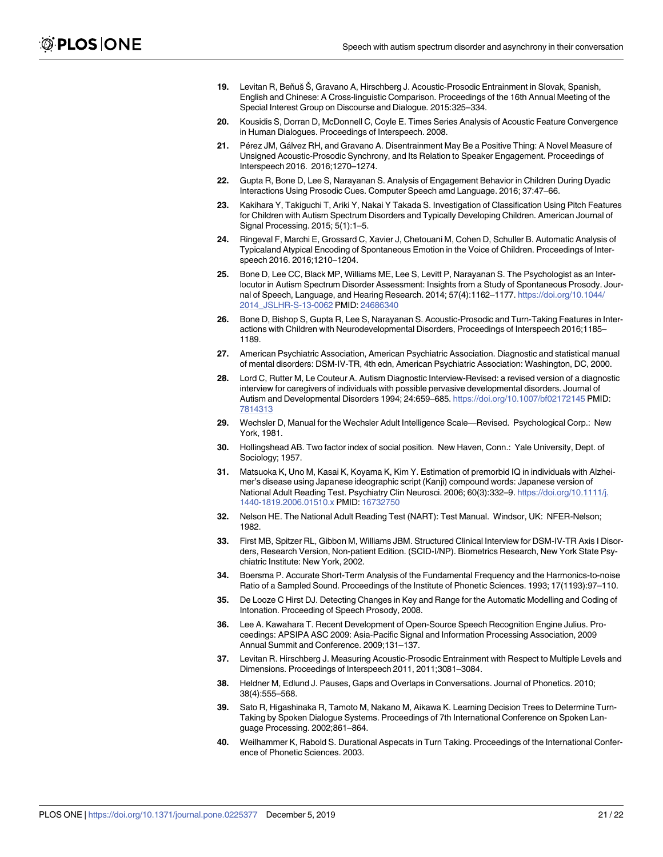- <span id="page-20-0"></span>[19](#page-1-0). Levitan R, Beňuš Š, Gravano A, Hirschberg J. Acoustic-Prosodic Entrainment in Slovak, Spanish, English and Chinese: A Cross-linguistic Comparison. Proceedings of the 16th Annual Meeting of the Special Interest Group on Discourse and Dialogue. 2015:325–334.
- **[20](#page-1-0).** Kousidis S, Dorran D, McDonnell C, Coyle E. Times Series Analysis of Acoustic Feature Convergence in Human Dialogues. Proceedings of Interspeech. 2008.
- **[21](#page-1-0).** Pérez JM, Gálvez RH, and Gravano A. Disentrainment May Be a Positive Thing: A Novel Measure of Unsigned Acoustic-Prosodic Synchrony, and Its Relation to Speaker Engagement. Proceedings of Interspeech 2016. 2016;1270–1274.
- **[22](#page-1-0).** Gupta R, Bone D, Lee S, Narayanan S. Analysis of Engagement Behavior in Children During Dyadic Interactions Using Prosodic Cues. Computer Speech amd Language. 2016; 37:47–66.
- **[23](#page-1-0).** Kakihara Y, Takiguchi T, Ariki Y, Nakai Y Takada S. Investigation of Classification Using Pitch Features for Children with Autism Spectrum Disorders and Typically Developing Children. American Journal of Signal Processing. 2015; 5(1):1–5.
- **[24](#page-1-0).** Ringeval F, Marchi E, Grossard C, Xavier J, Chetouani M, Cohen D, Schuller B. Automatic Analysis of Typicaland Atypical Encoding of Spontaneous Emotion in the Voice of Children. Proceedings of Interspeech 2016. 2016;1210–1204.
- **[25](#page-1-0).** Bone D, Lee CC, Black MP, Williams ME, Lee S, Levitt P, Narayanan S. The Psychologist as an Interlocutor in Autism Spectrum Disorder Assessment: Insights from a Study of Spontaneous Prosody. Journal of Speech, Language, and Hearing Research. 2014; 57(4):1162–1177. [https://doi.org/10.1044/](https://doi.org/10.1044/2014_JSLHR-S-13-0062) [2014\\_JSLHR-S-13-0062](https://doi.org/10.1044/2014_JSLHR-S-13-0062) PMID: [24686340](http://www.ncbi.nlm.nih.gov/pubmed/24686340)
- **[26](#page-1-0).** Bone D, Bishop S, Gupta R, Lee S, Narayanan S. Acoustic-Prosodic and Turn-Taking Features in Interactions with Children with Neurodevelopmental Disorders, Proceedings of Interspeech 2016;1185– 1189.
- **[27](#page-2-0).** American Psychiatric Association, American Psychiatric Association. Diagnostic and statistical manual of mental disorders: DSM-IV-TR, 4th edn, American Psychiatric Association: Washington, DC, 2000.
- **[28](#page-2-0).** Lord C, Rutter M, Le Couteur A. Autism Diagnostic Interview-Revised: a revised version of a diagnostic interview for caregivers of individuals with possible pervasive developmental disorders. Journal of Autism and Developmental Disorders 1994; 24:659–685. <https://doi.org/10.1007/bf02172145> PMID: [7814313](http://www.ncbi.nlm.nih.gov/pubmed/7814313)
- **[29](#page-2-0).** Wechsler D, Manual for the Wechsler Adult Intelligence Scale—Revised. Psychological Corp.: New York, 1981.
- **[30](#page-2-0).** Hollingshead AB. Two factor index of social position. New Haven, Conn.: Yale University, Dept. of Sociology; 1957.
- **[31](#page-2-0).** Matsuoka K, Uno M, Kasai K, Koyama K, Kim Y. Estimation of premorbid IQ in individuals with Alzheimer's disease using Japanese ideographic script (Kanji) compound words: Japanese version of National Adult Reading Test. Psychiatry Clin Neurosci. 2006; 60(3):332–9. [https://doi.org/10.1111/j.](https://doi.org/10.1111/j.1440-1819.2006.01510.x) [1440-1819.2006.01510.x](https://doi.org/10.1111/j.1440-1819.2006.01510.x) PMID: [16732750](http://www.ncbi.nlm.nih.gov/pubmed/16732750)
- **[32](#page-2-0).** Nelson HE. The National Adult Reading Test (NART): Test Manual. Windsor, UK: NFER-Nelson; 1982.
- **[33](#page-2-0).** First MB, Spitzer RL, Gibbon M, Williams JBM. Structured Clinical Interview for DSM-IV-TR Axis I Disorders, Research Version, Non-patient Edition. (SCID-I/NP). Biometrics Research, New York State Psychiatric Institute: New York, 2002.
- **[34](#page-3-0).** Boersma P. Accurate Short-Term Analysis of the Fundamental Frequency and the Harmonics-to-noise Ratio of a Sampled Sound. Proceedings of the Institute of Phonetic Sciences. 1993; 17(1193):97–110.
- **[35](#page-3-0).** De Looze C Hirst DJ. Detecting Changes in Key and Range for the Automatic Modelling and Coding of Intonation. Proceeding of Speech Prosody, 2008.
- **[36](#page-3-0).** Lee A. Kawahara T. Recent Development of Open-Source Speech Recognition Engine Julius. Proceedings: APSIPA ASC 2009: Asia-Pacific Signal and Information Processing Association, 2009 Annual Summit and Conference. 2009;131–137.
- **[37](#page-4-0).** Levitan R. Hirschberg J. Measuring Acoustic-Prosodic Entrainment with Respect to Multiple Levels and Dimensions. Proceedings of Interspeech 2011, 2011;3081–3084.
- **[38](#page-6-0).** Heldner M, Edlund J. Pauses, Gaps and Overlaps in Conversations. Journal of Phonetics. 2010; 38(4):555–568.
- **[39](#page-6-0).** Sato R, Higashinaka R, Tamoto M, Nakano M, Aikawa K. Learning Decision Trees to Determine Turn-Taking by Spoken Dialogue Systems. Proceedings of 7th International Conference on Spoken Language Processing. 2002;861–864.
- **[40](#page-6-0).** Weilhammer K, Rabold S. Durational Aspecats in Turn Taking. Proceedings of the International Conference of Phonetic Sciences. 2003.